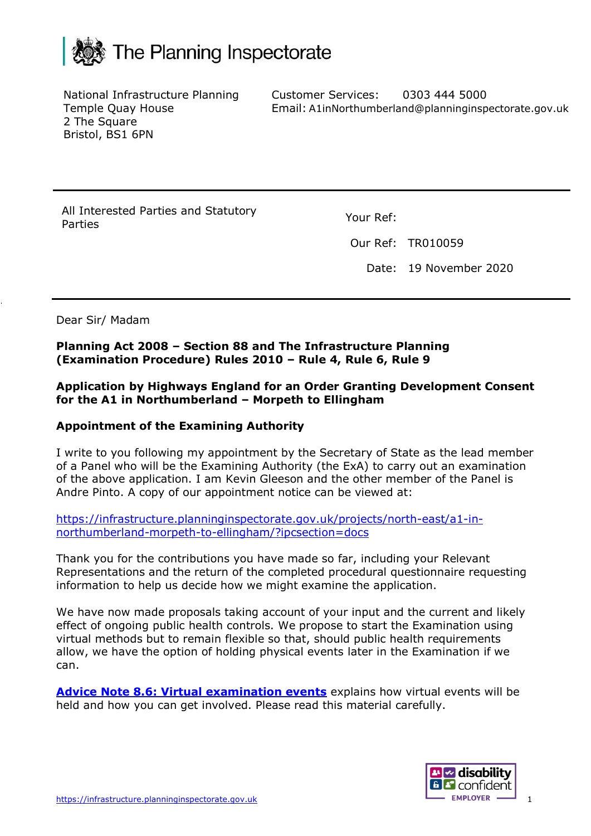

National Infrastructure Planning Temple Quay House 2 The Square Bristol, BS1 6PN

Customer Services: Email: A1inNorthumberland@planninginspectorate.gov.uk0303 444 5000

All Interested Parties and Statutory Parties Your Ref:

Our Ref: TR010059

Date: 19 November 2020

Dear Sir/ Madam

#### **Planning Act 2008 – Section 88 and The Infrastructure Planning (Examination Procedure) Rules 2010 – Rule 4, Rule 6, Rule 9**

#### **Application by Highways England for an Order Granting Development Consent for the A1 in Northumberland – Morpeth to Ellingham**

### **Appointment of the Examining Authority**

I write to you following my appointment by the Secretary of State as the lead member of a Panel who will be the Examining Authority (the ExA) to carry out an examination of the above application. I am Kevin Gleeson and the other member of the Panel is Andre Pinto. A copy of our appointment notice can be viewed at:

[https://infrastructure.planninginspectorate.gov.uk/projects/north-east/a1-in](https://infrastructure.planninginspectorate.gov.uk/projects/north-east/a1-in-northumberland-morpeth-to-ellingham/?ipcsection=docs)[northumberland-morpeth-to-ellingham/?ipcsection=docs](https://infrastructure.planninginspectorate.gov.uk/projects/north-east/a1-in-northumberland-morpeth-to-ellingham/?ipcsection=docs)

Thank you for the contributions you have made so far, including your Relevant Representations and the return of the completed procedural questionnaire requesting information to help us decide how we might examine the application.

We have now made proposals taking account of your input and the current and likely effect of ongoing public health controls. We propose to start the Examination using virtual methods but to remain flexible so that, should public health requirements allow, we have the option of holding physical events later in the Examination if we can.

**[Advice Note 8.6: Virtual examination events](https://infrastructure.planninginspectorate.gov.uk/legislation-and-advice/advice-notes/advice-note-8-6-virtual-examination-events/)** explains how virtual events will be held and how you can get involved. Please read this material carefully.

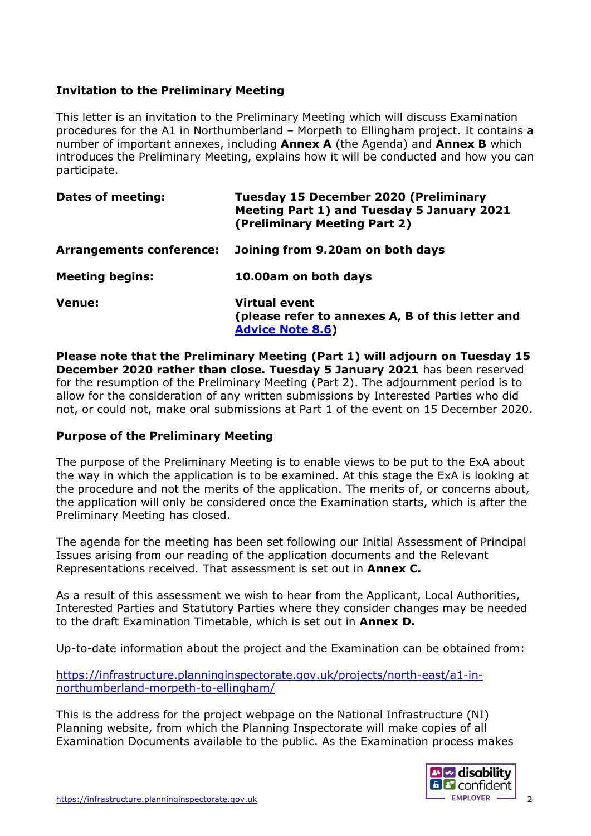## **Invitation to the Preliminary Meeting**

This letter is an invitation to the Preliminary Meeting which will discuss Examination procedures for the A1 in Northumberland – Morpeth to Ellingham project. It contains a number of important annexes, including **Annex A** (the Agenda) and **Annex B** which introduces the Preliminary Meeting, explains how it will be conducted and how you can participate.

| <b>Dates of meeting:</b>        | <b>Tuesday 15 December 2020 (Preliminary</b><br>Meeting Part 1) and Tuesday 5 January 2021<br>(Preliminary Meeting Part 2) |
|---------------------------------|----------------------------------------------------------------------------------------------------------------------------|
| <b>Arrangements conference:</b> | Joining from 9.20am on both days                                                                                           |
| <b>Meeting begins:</b>          | 10.00am on both days                                                                                                       |
| <b>Venue:</b>                   | <b>Virtual event</b><br>(please refer to annexes A, B of this letter and<br><b>Advice Note 8.6)</b>                        |

**Please note that the Preliminary Meeting (Part 1) will adjourn on Tuesday 15 December 2020 rather than close. Tuesday 5 January 2021** has been reserved for the resumption of the Preliminary Meeting (Part 2). The adjournment period is to allow for the consideration of any written submissions by Interested Parties who did not, or could not, make oral submissions at Part 1 of the event on 15 December 2020.

### **Purpose of the Preliminary Meeting**

The purpose of the Preliminary Meeting is to enable views to be put to the ExA about the way in which the application is to be examined. At this stage the ExA is looking at the procedure and not the merits of the application. The merits of, or concerns about, the application will only be considered once the Examination starts, which is after the Preliminary Meeting has closed.

The agenda for the meeting has been set following our Initial Assessment of Principal Issues arising from our reading of the application documents and the Relevant Representations received. That assessment is set out in **Annex C.**

As a result of this assessment we wish to hear from the Applicant, Local Authorities, Interested Parties and Statutory Parties where they consider changes may be needed to the draft Examination Timetable, which is set out in **Annex D.**

Up-to-date information about the project and the Examination can be obtained from:

[https://infrastructure.planninginspectorate.gov.uk/projects/north-east/a1-in](https://infrastructure.planninginspectorate.gov.uk/projects/north-east/a1-in-northumberland-morpeth-to-ellingham/)[northumberland-morpeth-to-ellingham/](https://infrastructure.planninginspectorate.gov.uk/projects/north-east/a1-in-northumberland-morpeth-to-ellingham/)

This is the address for the project webpage on the National Infrastructure (NI) Planning website, from which the Planning Inspectorate will make copies of all Examination Documents available to the public. As the Examination process makes

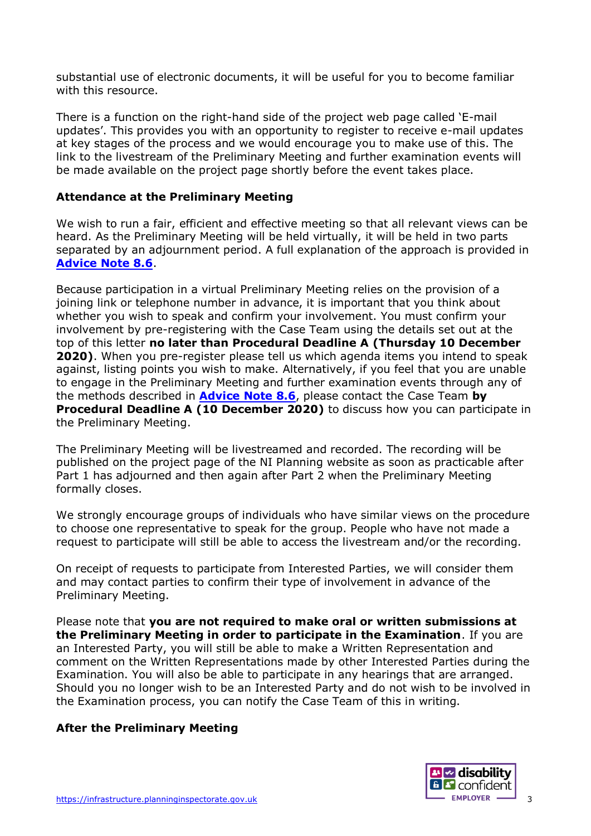substantial use of electronic documents, it will be useful for you to become familiar with this resource.

There is a function on the right-hand side of the project web page called 'E-mail updates'. This provides you with an opportunity to register to receive e-mail updates at key stages of the process and we would encourage you to make use of this. The link to the livestream of the Preliminary Meeting and further examination events will be made available on the project page shortly before the event takes place.

### **Attendance at the Preliminary Meeting**

We wish to run a fair, efficient and effective meeting so that all relevant views can be heard. As the Preliminary Meeting will be held virtually, it will be held in two parts separated by an adjournment period. A full explanation of the approach is provided in **[Advice Note 8.6](https://infrastructure.planninginspectorate.gov.uk/legislation-and-advice/advice-notes/advice-note-8-6-virtual-examination-events/)**.

Because participation in a virtual Preliminary Meeting relies on the provision of a joining link or telephone number in advance, it is important that you think about whether you wish to speak and confirm your involvement. You must confirm your involvement by pre-registering with the Case Team using the details set out at the top of this letter **no later than Procedural Deadline A (Thursday 10 December 2020)**. When you pre-register please tell us which agenda items you intend to speak against, listing points you wish to make. Alternatively, if you feel that you are unable to engage in the Preliminary Meeting and further examination events through any of the methods described in **[Advice Note 8.6](https://infrastructure.planninginspectorate.gov.uk/legislation-and-advice/advice-notes/advice-note-8-6-virtual-examination-events/)**, please contact the Case Team **by Procedural Deadline A (10 December 2020)** to discuss how you can participate in the Preliminary Meeting.

The Preliminary Meeting will be livestreamed and recorded. The recording will be published on the project page of the NI Planning website as soon as practicable after Part 1 has adjourned and then again after Part 2 when the Preliminary Meeting formally closes.

We strongly encourage groups of individuals who have similar views on the procedure to choose one representative to speak for the group. People who have not made a request to participate will still be able to access the livestream and/or the recording.

On receipt of requests to participate from Interested Parties, we will consider them and may contact parties to confirm their type of involvement in advance of the Preliminary Meeting.

Please note that **you are not required to make oral or written submissions at the Preliminary Meeting in order to participate in the Examination**. If you are an Interested Party, you will still be able to make a Written Representation and comment on the Written Representations made by other Interested Parties during the Examination. You will also be able to participate in any hearings that are arranged. Should you no longer wish to be an Interested Party and do not wish to be involved in the Examination process, you can notify the Case Team of this in writing.

### **After the Preliminary Meeting**

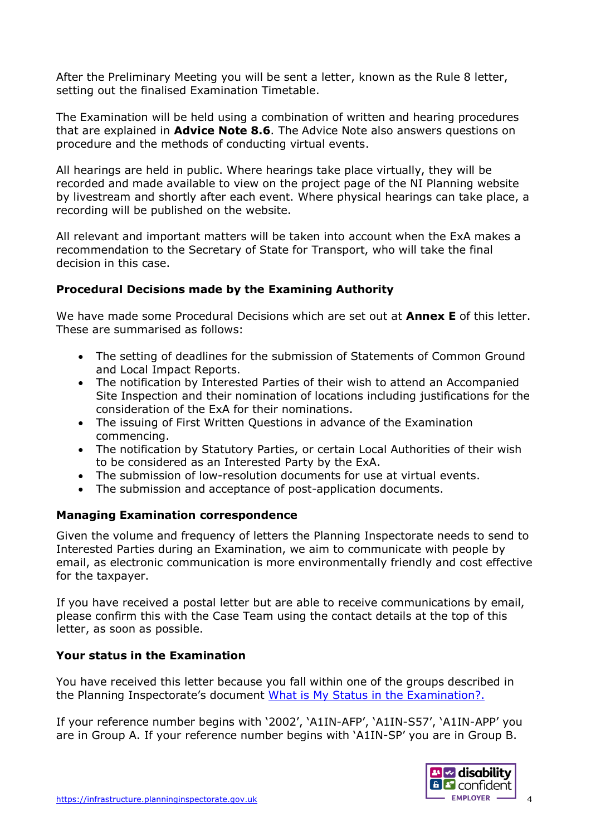After the Preliminary Meeting you will be sent a letter, known as the Rule 8 letter, setting out the finalised Examination Timetable.

The Examination will be held using a combination of written and hearing procedures that are explained in **[Advice Note 8.6](https://infrastructure.planninginspectorate.gov.uk/legislation-and-advice/advice-notes/advice-note-8-6-virtual-examination-events/)**. The Advice Note also answers questions on procedure and the methods of conducting virtual events.

All hearings are held in public. Where hearings take place virtually, they will be recorded and made available to view on the project page of the NI Planning website by livestream and shortly after each event. Where physical hearings can take place, a recording will be published on the website.

All relevant and important matters will be taken into account when the ExA makes a recommendation to the Secretary of State for Transport, who will take the final decision in this case.

## **Procedural Decisions made by the Examining Authority**

We have made some Procedural Decisions which are set out at **Annex E** of this letter. These are summarised as follows:

- The setting of deadlines for the submission of Statements of Common Ground and Local Impact Reports.
- The notification by Interested Parties of their wish to attend an Accompanied Site Inspection and their nomination of locations including justifications for the consideration of the ExA for their nominations.
- The issuing of First Written Questions in advance of the Examination commencing.
- The notification by Statutory Parties, or certain Local Authorities of their wish to be considered as an Interested Party by the ExA.
- The submission of low-resolution documents for use at virtual events.
- The submission and acceptance of post-application documents.

### **Managing Examination correspondence**

Given the volume and frequency of letters the Planning Inspectorate needs to send to Interested Parties during an Examination, we aim to communicate with people by email, as electronic communication is more environmentally friendly and cost effective for the taxpayer.

If you have received a postal letter but are able to receive communications by email, please confirm this with the Case Team using the contact details at the top of this letter, as soon as possible.

### **Your status in the Examination**

You have received this letter because you fall within one of the groups described in the Planning Inspectorate's document [What is My Status in the Examination?.](https://infrastructure.planninginspectorate.gov.uk/wp-content/uploads/2019/02/Status-faq.pdf)

If your reference number begins with '2002', 'A1IN-AFP', 'A1IN-S57', 'A1IN-APP' you are in Group A. If your reference number begins with 'A1IN-SP' you are in Group B.

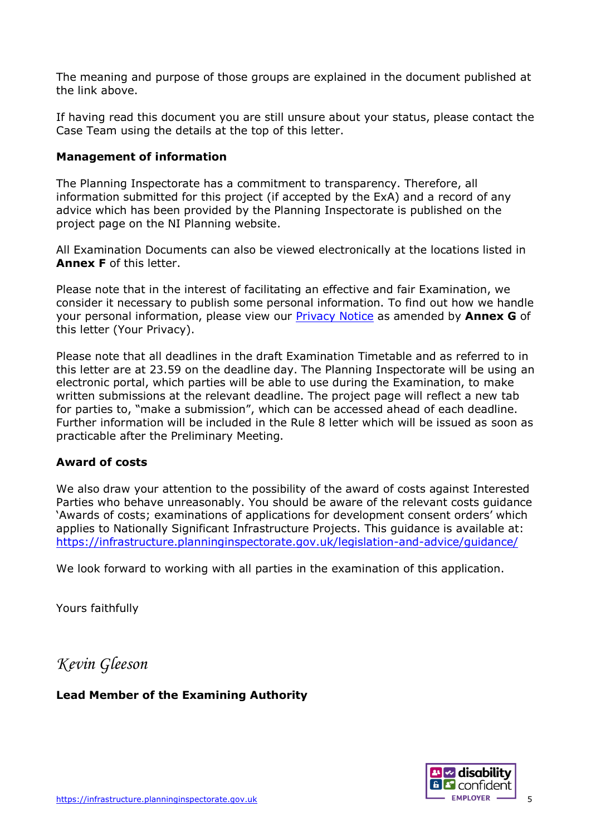The meaning and purpose of those groups are explained in the document published at the link above.

If having read this document you are still unsure about your status, please contact the Case Team using the details at the top of this letter.

### **Management of information**

The Planning Inspectorate has a commitment to transparency. Therefore, all information submitted for this project (if accepted by the ExA) and a record of any advice which has been provided by the Planning Inspectorate is published on the project page on the NI Planning website.

All Examination Documents can also be viewed electronically at the locations listed in **Annex F** of this letter.

Please note that in the interest of facilitating an effective and fair Examination, we consider it necessary to publish some personal information. To find out how we handle your personal information, please view our [Privacy Notice](https://infrastructure.planninginspectorate.gov.uk/help/privacy-and-cookie/) as amended by **Annex G** of this letter (Your Privacy).

Please note that all deadlines in the draft Examination Timetable and as referred to in this letter are at 23.59 on the deadline day. The Planning Inspectorate will be using an electronic portal, which parties will be able to use during the Examination, to make written submissions at the relevant deadline. The project page will reflect a new tab for parties to, "make a submission", which can be accessed ahead of each deadline. Further information will be included in the Rule 8 letter which will be issued as soon as practicable after the Preliminary Meeting.

#### **Award of costs**

We also draw your attention to the possibility of the award of costs against Interested Parties who behave unreasonably. You should be aware of the relevant costs guidance 'Awards of costs; examinations of applications for development consent orders' which applies to Nationally Significant Infrastructure Projects. This guidance is available at: <https://infrastructure.planninginspectorate.gov.uk/legislation-and-advice/guidance/>

We look forward to working with all parties in the examination of this application.

Yours faithfully

*Kevin Gleeson*

**Lead Member of the Examining Authority**

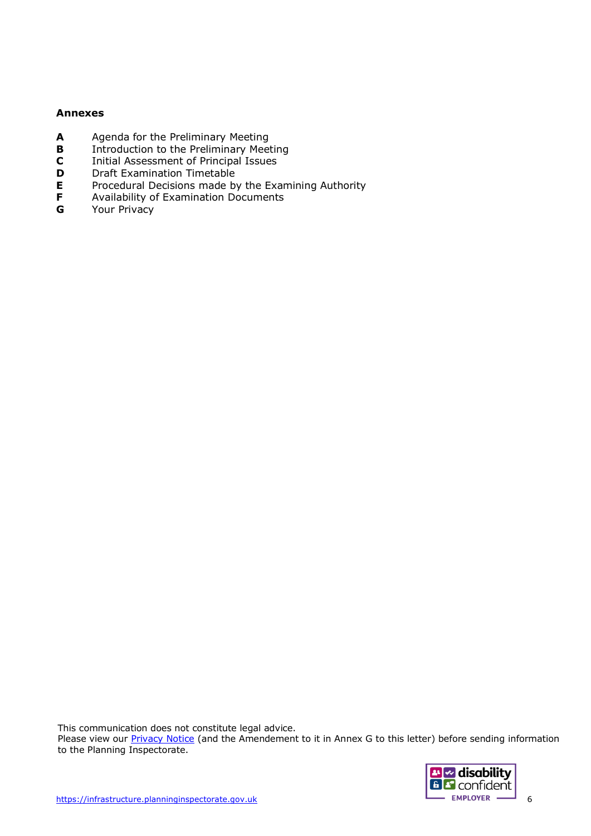#### **Annexes**

- **A** Agenda for the Preliminary Meeting<br>**B** Introduction to the Preliminary Meeting
- **B** Introduction to the Preliminary Meeting<br>**C** Initial Assessment of Principal Issues
- **C** Initial Assessment of Principal Issues
- **D** Draft Examination Timetable
- **E** Procedural Decisions made by the Examining Authority<br>**F** Availability of Examination Documents
- **F** Availability of Examination Documents<br>**G** Your Privacy
- Your Privacy

This communication does not constitute legal advice.

Please view our **Privacy Notice** (and the Amendement to it in Annex G to this letter) before sending information to the Planning Inspectorate.

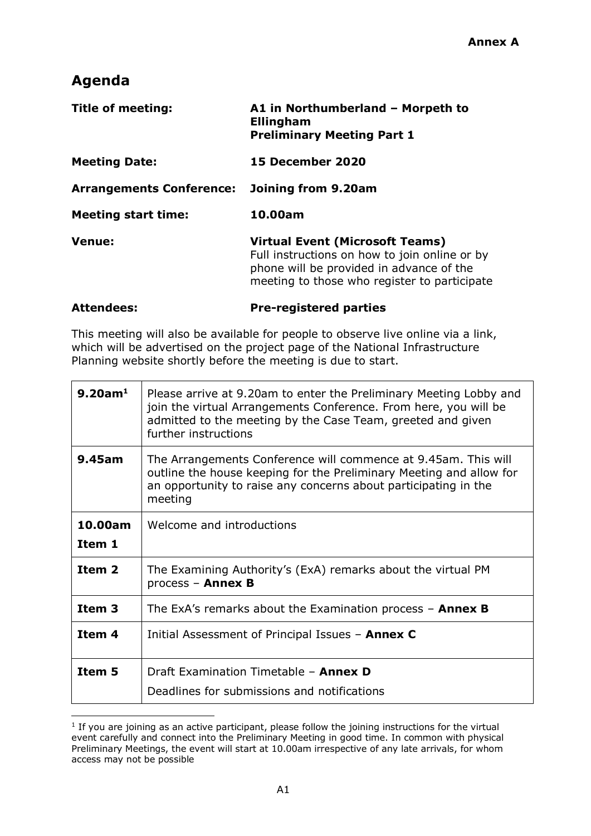# **Agenda**

| <b>Title of meeting:</b>        | A1 in Northumberland - Morpeth to<br>Ellingham<br><b>Preliminary Meeting Part 1</b>                                                                                                 |  |
|---------------------------------|-------------------------------------------------------------------------------------------------------------------------------------------------------------------------------------|--|
| <b>Meeting Date:</b>            | <b>15 December 2020</b>                                                                                                                                                             |  |
| <b>Arrangements Conference:</b> | Joining from 9.20am                                                                                                                                                                 |  |
| <b>Meeting start time:</b>      | 10.00am                                                                                                                                                                             |  |
| <b>Venue:</b>                   | <b>Virtual Event (Microsoft Teams)</b><br>Full instructions on how to join online or by<br>phone will be provided in advance of the<br>meeting to those who register to participate |  |

#### **Attendees: Pre-registered parties**

This meeting will also be available for people to observe live online via a link, which will be advertised on the project page of the National Infrastructure Planning website shortly before the meeting is due to start.

| $9.20$ am <sup>1</sup> | Please arrive at 9.20am to enter the Preliminary Meeting Lobby and<br>join the virtual Arrangements Conference. From here, you will be<br>admitted to the meeting by the Case Team, greeted and given<br>further instructions |  |
|------------------------|-------------------------------------------------------------------------------------------------------------------------------------------------------------------------------------------------------------------------------|--|
| 9.45am                 | The Arrangements Conference will commence at 9.45am. This will<br>outline the house keeping for the Preliminary Meeting and allow for<br>an opportunity to raise any concerns about participating in the<br>meeting           |  |
| 10.00am                | Welcome and introductions                                                                                                                                                                                                     |  |
| Item 1                 |                                                                                                                                                                                                                               |  |
| Item 2                 | The Examining Authority's (ExA) remarks about the virtual PM<br>process - Annex B                                                                                                                                             |  |
| Item <sub>3</sub>      | The ExA's remarks about the Examination process $-$ Annex B                                                                                                                                                                   |  |
| Item 4                 | Initial Assessment of Principal Issues - Annex C                                                                                                                                                                              |  |
| Item 5                 | Draft Examination Timetable - Annex D                                                                                                                                                                                         |  |
|                        | Deadlines for submissions and notifications                                                                                                                                                                                   |  |

<sup>&</sup>lt;sup>1</sup> If you are joining as an active participant, please follow the joining instructions for the virtual event carefully and connect into the Preliminary Meeting in good time. In common with physical Preliminary Meetings, the event will start at 10.00am irrespective of any late arrivals, for whom access may not be possible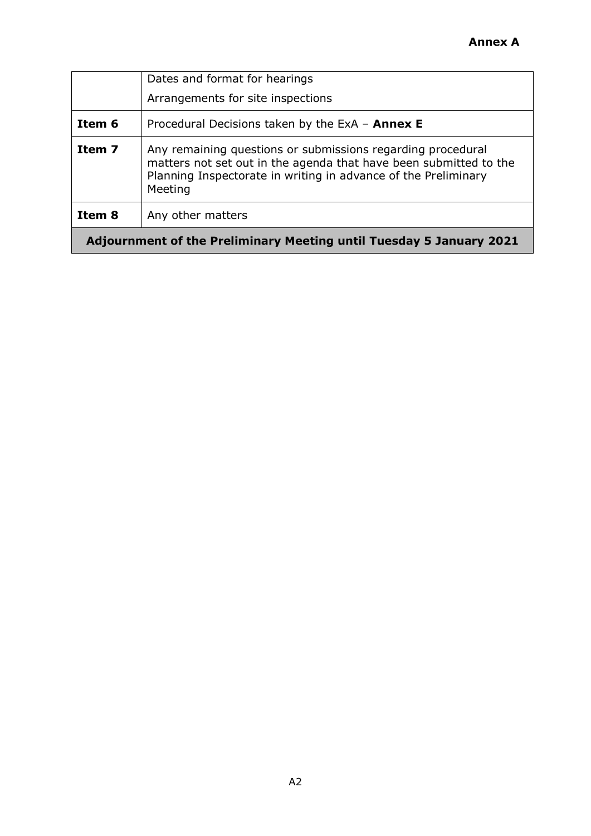|                                                                            | Dates and format for hearings                                                                                                                                                                                 |  |
|----------------------------------------------------------------------------|---------------------------------------------------------------------------------------------------------------------------------------------------------------------------------------------------------------|--|
|                                                                            | Arrangements for site inspections                                                                                                                                                                             |  |
| Item 6                                                                     | Procedural Decisions taken by the ExA $-$ Annex E                                                                                                                                                             |  |
| Item 7                                                                     | Any remaining questions or submissions regarding procedural<br>matters not set out in the agenda that have been submitted to the<br>Planning Inspectorate in writing in advance of the Preliminary<br>Meeting |  |
| Item 8                                                                     | Any other matters                                                                                                                                                                                             |  |
| <b>Adjournment of the Preliminary Meeting until Tuesday 5 January 2021</b> |                                                                                                                                                                                                               |  |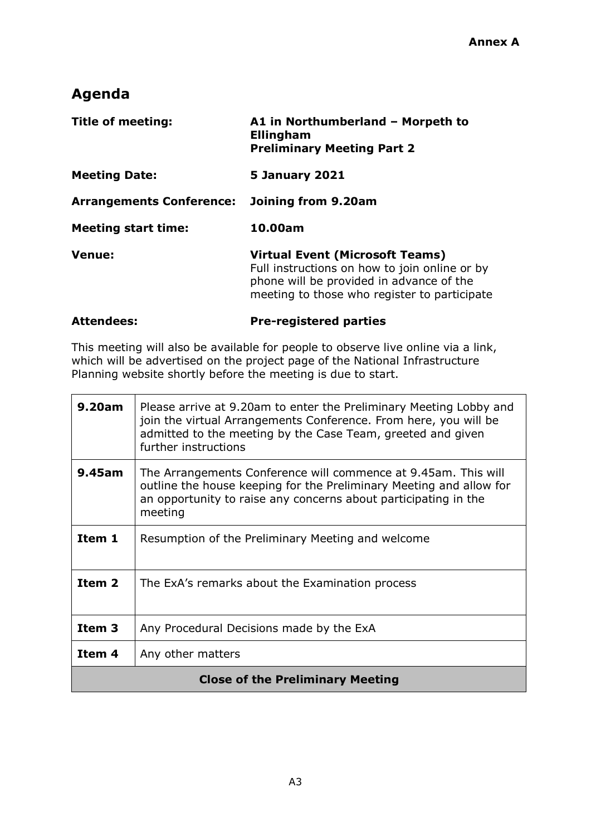# **Agenda**

| <b>Title of meeting:</b>        | A1 in Northumberland - Morpeth to<br>Ellingham<br><b>Preliminary Meeting Part 2</b>                                                                                                 |  |
|---------------------------------|-------------------------------------------------------------------------------------------------------------------------------------------------------------------------------------|--|
| <b>Meeting Date:</b>            | <b>5 January 2021</b>                                                                                                                                                               |  |
| <b>Arrangements Conference:</b> | Joining from 9.20am                                                                                                                                                                 |  |
| <b>Meeting start time:</b>      | 10.00am                                                                                                                                                                             |  |
| <b>Venue:</b>                   | <b>Virtual Event (Microsoft Teams)</b><br>Full instructions on how to join online or by<br>phone will be provided in advance of the<br>meeting to those who register to participate |  |

# **Attendees: Pre-registered parties**

This meeting will also be available for people to observe live online via a link, which will be advertised on the project page of the National Infrastructure Planning website shortly before the meeting is due to start.

| 9.20am                                  | Please arrive at 9.20am to enter the Preliminary Meeting Lobby and<br>join the virtual Arrangements Conference. From here, you will be<br>admitted to the meeting by the Case Team, greeted and given<br>further instructions |  |
|-----------------------------------------|-------------------------------------------------------------------------------------------------------------------------------------------------------------------------------------------------------------------------------|--|
| 9.45am                                  | The Arrangements Conference will commence at 9.45am. This will<br>outline the house keeping for the Preliminary Meeting and allow for<br>an opportunity to raise any concerns about participating in the<br>meeting           |  |
| Item 1                                  | Resumption of the Preliminary Meeting and welcome                                                                                                                                                                             |  |
| Item <sub>2</sub>                       | The ExA's remarks about the Examination process                                                                                                                                                                               |  |
| Item <sub>3</sub>                       | Any Procedural Decisions made by the ExA                                                                                                                                                                                      |  |
| Item 4                                  | Any other matters                                                                                                                                                                                                             |  |
| <b>Close of the Preliminary Meeting</b> |                                                                                                                                                                                                                               |  |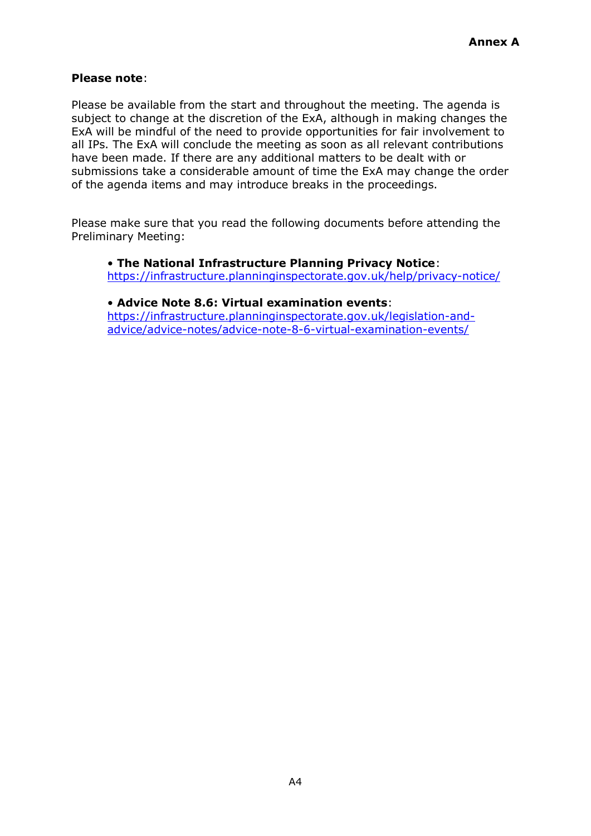### **Please note**:

Please be available from the start and throughout the meeting. The agenda is subject to change at the discretion of the ExA, although in making changes the ExA will be mindful of the need to provide opportunities for fair involvement to all IPs. The ExA will conclude the meeting as soon as all relevant contributions have been made. If there are any additional matters to be dealt with or submissions take a considerable amount of time the ExA may change the order of the agenda items and may introduce breaks in the proceedings.

Please make sure that you read the following documents before attending the Preliminary Meeting:

• **The National Infrastructure Planning Privacy Notice**: <https://infrastructure.planninginspectorate.gov.uk/help/privacy-notice/>

### • **Advice Note 8.6: Virtual examination events**:

[https://infrastructure.planninginspectorate.gov.uk/legislation-and](https://infrastructure.planninginspectorate.gov.uk/legislation-and-advice/advice-notes/advice-note-8-6-virtual-examination-events/)[advice/advice-notes/advice-note-8-6-virtual-examination-events/](https://infrastructure.planninginspectorate.gov.uk/legislation-and-advice/advice-notes/advice-note-8-6-virtual-examination-events/)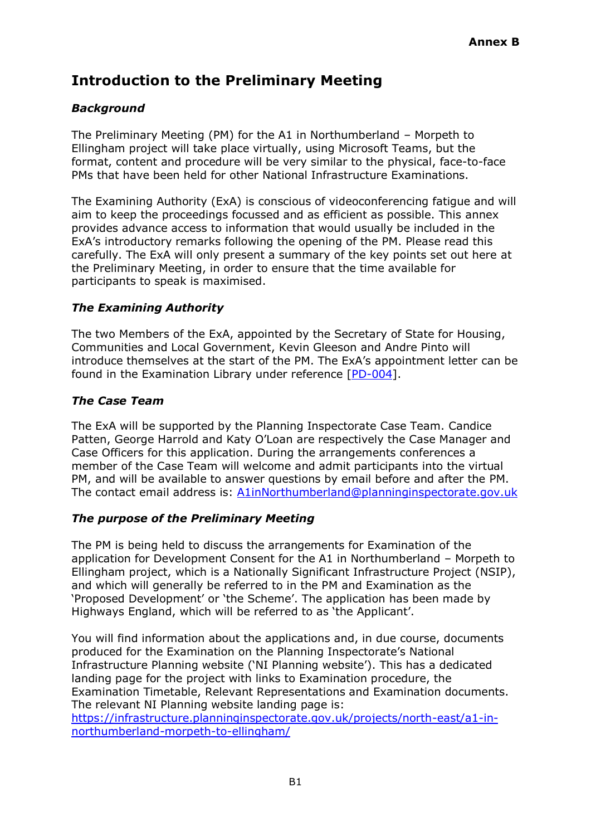# **Introduction to the Preliminary Meeting**

# *Background*

The Preliminary Meeting (PM) for the A1 in Northumberland – Morpeth to Ellingham project will take place virtually, using Microsoft Teams, but the format, content and procedure will be very similar to the physical, face-to-face PMs that have been held for other National Infrastructure Examinations.

The Examining Authority (ExA) is conscious of videoconferencing fatigue and will aim to keep the proceedings focussed and as efficient as possible. This annex provides advance access to information that would usually be included in the ExA's introductory remarks following the opening of the PM. Please read this carefully. The ExA will only present a summary of the key points set out here at the Preliminary Meeting, in order to ensure that the time available for participants to speak is maximised.

## *The Examining Authority*

The two Members of the ExA, appointed by the Secretary of State for Housing, Communities and Local Government, Kevin Gleeson and Andre Pinto will introduce themselves at the start of the PM. The ExA's appointment letter can be found in the Examination Library under reference [\[PD-004\]](https://infrastructure.planninginspectorate.gov.uk/wp-content/ipc/uploads/projects/TR010059/TR010059-000826-TR010059_Notice%20of%20Appointment%20of%20the%20Examining%20Authority.pdf).

## *The Case Team*

The ExA will be supported by the Planning Inspectorate Case Team. Candice Patten, George Harrold and Katy O'Loan are respectively the Case Manager and Case Officers for this application. During the arrangements conferences a member of the Case Team will welcome and admit participants into the virtual PM, and will be available to answer questions by email before and after the PM. The contact email address is: [A1inNorthumberland@planninginspectorate.gov.uk](mailto:A1inNorthumberland@planninginspectorate.gov.uk)

### *The purpose of the Preliminary Meeting*

The PM is being held to discuss the arrangements for Examination of the application for Development Consent for the A1 in Northumberland – Morpeth to Ellingham project, which is a Nationally Significant Infrastructure Project (NSIP), and which will generally be referred to in the PM and Examination as the 'Proposed Development' or 'the Scheme'. The application has been made by Highways England, which will be referred to as 'the Applicant'.

You will find information about the applications and, in due course, documents produced for the Examination on the Planning Inspectorate's National Infrastructure Planning website ('NI Planning website'). This has a dedicated landing page for the project with links to Examination procedure, the Examination Timetable, Relevant Representations and Examination documents. The relevant NI Planning website landing page is:

[https://infrastructure.planninginspectorate.gov.uk/projects/north-east/a1-in](https://infrastructure.planninginspectorate.gov.uk/projects/north-east/a1-in-northumberland-morpeth-to-ellingham/)[northumberland-morpeth-to-ellingham/](https://infrastructure.planninginspectorate.gov.uk/projects/north-east/a1-in-northumberland-morpeth-to-ellingham/)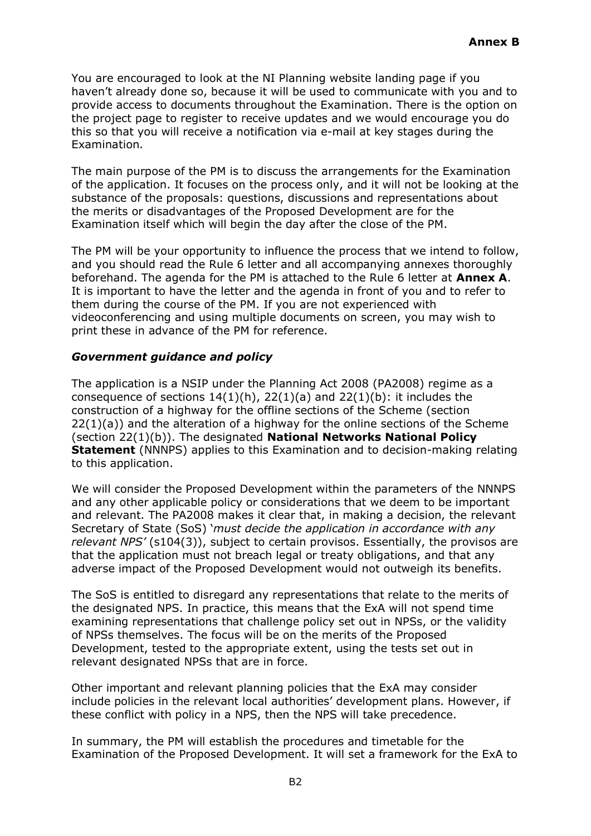You are encouraged to look at the NI Planning website landing page if you haven't already done so, because it will be used to communicate with you and to provide access to documents throughout the Examination. There is the option on the project page to register to receive updates and we would encourage you do this so that you will receive a notification via e-mail at key stages during the Examination.

The main purpose of the PM is to discuss the arrangements for the Examination of the application. It focuses on the process only, and it will not be looking at the substance of the proposals: questions, discussions and representations about the merits or disadvantages of the Proposed Development are for the Examination itself which will begin the day after the close of the PM.

The PM will be your opportunity to influence the process that we intend to follow, and you should read the Rule 6 letter and all accompanying annexes thoroughly beforehand. The agenda for the PM is attached to the Rule 6 letter at **Annex A**. It is important to have the letter and the agenda in front of you and to refer to them during the course of the PM. If you are not experienced with videoconferencing and using multiple documents on screen, you may wish to print these in advance of the PM for reference.

### *Government guidance and policy*

The application is a NSIP under the Planning Act 2008 (PA2008) regime as a consequence of sections  $14(1)(h)$ ,  $22(1)(a)$  and  $22(1)(b)$ : it includes the construction of a highway for the offline sections of the Scheme (section 22(1)(a)) and the alteration of a highway for the online sections of the Scheme (section 22(1)(b)). The designated **National Networks National Policy Statement** (NNNPS) applies to this Examination and to decision-making relating to this application.

We will consider the Proposed Development within the parameters of the NNNPS and any other applicable policy or considerations that we deem to be important and relevant. The PA2008 makes it clear that, in making a decision, the relevant Secretary of State (SoS) '*must decide the application in accordance with any relevant NPS'* (s104(3)), subject to certain provisos. Essentially, the provisos are that the application must not breach legal or treaty obligations, and that any adverse impact of the Proposed Development would not outweigh its benefits.

The SoS is entitled to disregard any representations that relate to the merits of the designated NPS. In practice, this means that the ExA will not spend time examining representations that challenge policy set out in NPSs, or the validity of NPSs themselves. The focus will be on the merits of the Proposed Development, tested to the appropriate extent, using the tests set out in relevant designated NPSs that are in force.

Other important and relevant planning policies that the ExA may consider include policies in the relevant local authorities' development plans. However, if these conflict with policy in a NPS, then the NPS will take precedence.

In summary, the PM will establish the procedures and timetable for the Examination of the Proposed Development. It will set a framework for the ExA to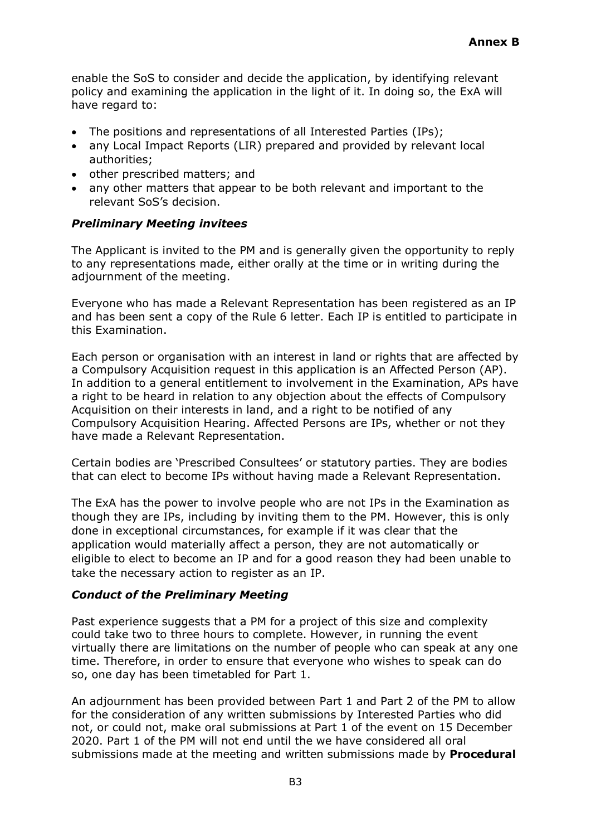enable the SoS to consider and decide the application, by identifying relevant policy and examining the application in the light of it. In doing so, the ExA will have regard to:

- The positions and representations of all Interested Parties (IPs);
- any Local Impact Reports (LIR) prepared and provided by relevant local authorities;
- other prescribed matters; and
- any other matters that appear to be both relevant and important to the relevant SoS's decision.

### *Preliminary Meeting invitees*

The Applicant is invited to the PM and is generally given the opportunity to reply to any representations made, either orally at the time or in writing during the adjournment of the meeting.

Everyone who has made a Relevant Representation has been registered as an IP and has been sent a copy of the Rule 6 letter. Each IP is entitled to participate in this Examination.

Each person or organisation with an interest in land or rights that are affected by a Compulsory Acquisition request in this application is an Affected Person (AP). In addition to a general entitlement to involvement in the Examination, APs have a right to be heard in relation to any objection about the effects of Compulsory Acquisition on their interests in land, and a right to be notified of any Compulsory Acquisition Hearing. Affected Persons are IPs, whether or not they have made a Relevant Representation.

Certain bodies are 'Prescribed Consultees' or statutory parties. They are bodies that can elect to become IPs without having made a Relevant Representation.

The ExA has the power to involve people who are not IPs in the Examination as though they are IPs, including by inviting them to the PM. However, this is only done in exceptional circumstances, for example if it was clear that the application would materially affect a person, they are not automatically or eligible to elect to become an IP and for a good reason they had been unable to take the necessary action to register as an IP.

### *Conduct of the Preliminary Meeting*

Past experience suggests that a PM for a project of this size and complexity could take two to three hours to complete. However, in running the event virtually there are limitations on the number of people who can speak at any one time. Therefore, in order to ensure that everyone who wishes to speak can do so, one day has been timetabled for Part 1.

An adjournment has been provided between Part 1 and Part 2 of the PM to allow for the consideration of any written submissions by Interested Parties who did not, or could not, make oral submissions at Part 1 of the event on 15 December 2020. Part 1 of the PM will not end until the we have considered all oral submissions made at the meeting and written submissions made by **Procedural**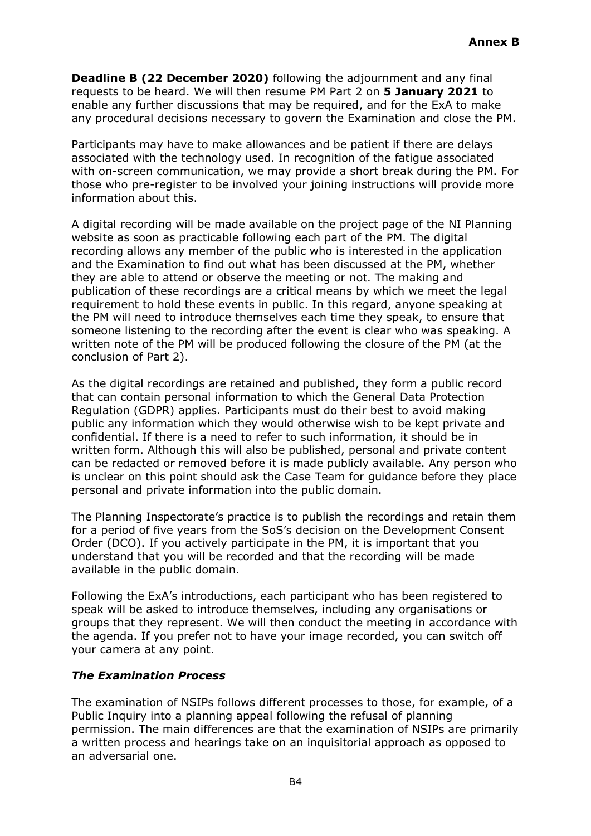**Deadline B (22 December 2020)** following the adjournment and any final requests to be heard. We will then resume PM Part 2 on **5 January 2021** to enable any further discussions that may be required, and for the ExA to make any procedural decisions necessary to govern the Examination and close the PM.

Participants may have to make allowances and be patient if there are delays associated with the technology used. In recognition of the fatigue associated with on-screen communication, we may provide a short break during the PM. For those who pre-register to be involved your joining instructions will provide more information about this.

A digital recording will be made available on the project page of the NI Planning website as soon as practicable following each part of the PM. The digital recording allows any member of the public who is interested in the application and the Examination to find out what has been discussed at the PM, whether they are able to attend or observe the meeting or not. The making and publication of these recordings are a critical means by which we meet the legal requirement to hold these events in public. In this regard, anyone speaking at the PM will need to introduce themselves each time they speak, to ensure that someone listening to the recording after the event is clear who was speaking. A written note of the PM will be produced following the closure of the PM (at the conclusion of Part 2).

As the digital recordings are retained and published, they form a public record that can contain personal information to which the General Data Protection Regulation (GDPR) applies. Participants must do their best to avoid making public any information which they would otherwise wish to be kept private and confidential. If there is a need to refer to such information, it should be in written form. Although this will also be published, personal and private content can be redacted or removed before it is made publicly available. Any person who is unclear on this point should ask the Case Team for guidance before they place personal and private information into the public domain.

The Planning Inspectorate's practice is to publish the recordings and retain them for a period of five years from the SoS's decision on the Development Consent Order (DCO). If you actively participate in the PM, it is important that you understand that you will be recorded and that the recording will be made available in the public domain.

Following the ExA's introductions, each participant who has been registered to speak will be asked to introduce themselves, including any organisations or groups that they represent. We will then conduct the meeting in accordance with the agenda. If you prefer not to have your image recorded, you can switch off your camera at any point.

### *The Examination Process*

The examination of NSIPs follows different processes to those, for example, of a Public Inquiry into a planning appeal following the refusal of planning permission. The main differences are that the examination of NSIPs are primarily a written process and hearings take on an inquisitorial approach as opposed to an adversarial one.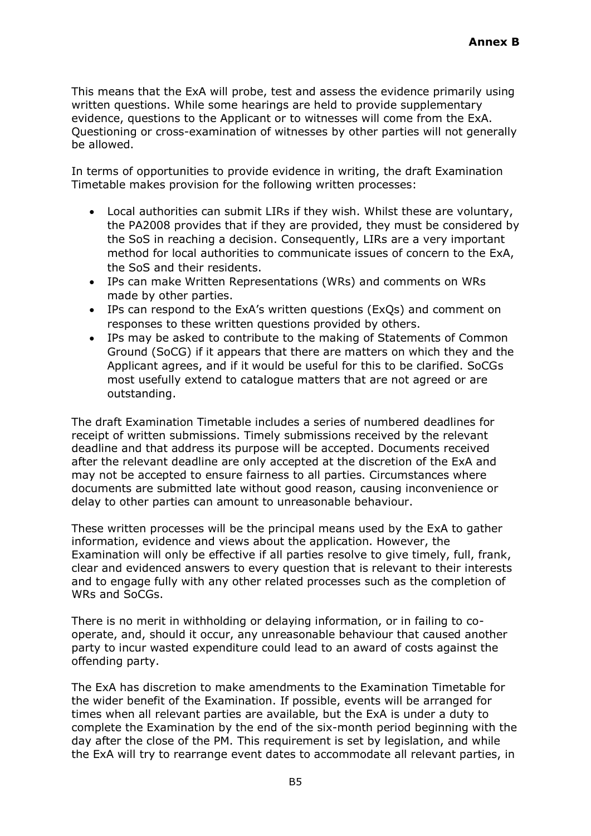This means that the ExA will probe, test and assess the evidence primarily using written questions. While some hearings are held to provide supplementary evidence, questions to the Applicant or to witnesses will come from the ExA. Questioning or cross-examination of witnesses by other parties will not generally be allowed.

In terms of opportunities to provide evidence in writing, the draft Examination Timetable makes provision for the following written processes:

- Local authorities can submit LIRs if they wish. Whilst these are voluntary, the PA2008 provides that if they are provided, they must be considered by the SoS in reaching a decision. Consequently, LIRs are a very important method for local authorities to communicate issues of concern to the ExA, the SoS and their residents.
- IPs can make Written Representations (WRs) and comments on WRs made by other parties.
- IPs can respond to the ExA's written questions (ExQs) and comment on responses to these written questions provided by others.
- IPs may be asked to contribute to the making of Statements of Common Ground (SoCG) if it appears that there are matters on which they and the Applicant agrees, and if it would be useful for this to be clarified. SoCGs most usefully extend to catalogue matters that are not agreed or are outstanding.

The draft Examination Timetable includes a series of numbered deadlines for receipt of written submissions. Timely submissions received by the relevant deadline and that address its purpose will be accepted. Documents received after the relevant deadline are only accepted at the discretion of the ExA and may not be accepted to ensure fairness to all parties. Circumstances where documents are submitted late without good reason, causing inconvenience or delay to other parties can amount to unreasonable behaviour.

These written processes will be the principal means used by the ExA to gather information, evidence and views about the application. However, the Examination will only be effective if all parties resolve to give timely, full, frank, clear and evidenced answers to every question that is relevant to their interests and to engage fully with any other related processes such as the completion of WRs and SoCGs.

There is no merit in withholding or delaying information, or in failing to cooperate, and, should it occur, any unreasonable behaviour that caused another party to incur wasted expenditure could lead to an award of costs against the offending party.

The ExA has discretion to make amendments to the Examination Timetable for the wider benefit of the Examination. If possible, events will be arranged for times when all relevant parties are available, but the ExA is under a duty to complete the Examination by the end of the six-month period beginning with the day after the close of the PM. This requirement is set by legislation, and while the ExA will try to rearrange event dates to accommodate all relevant parties, in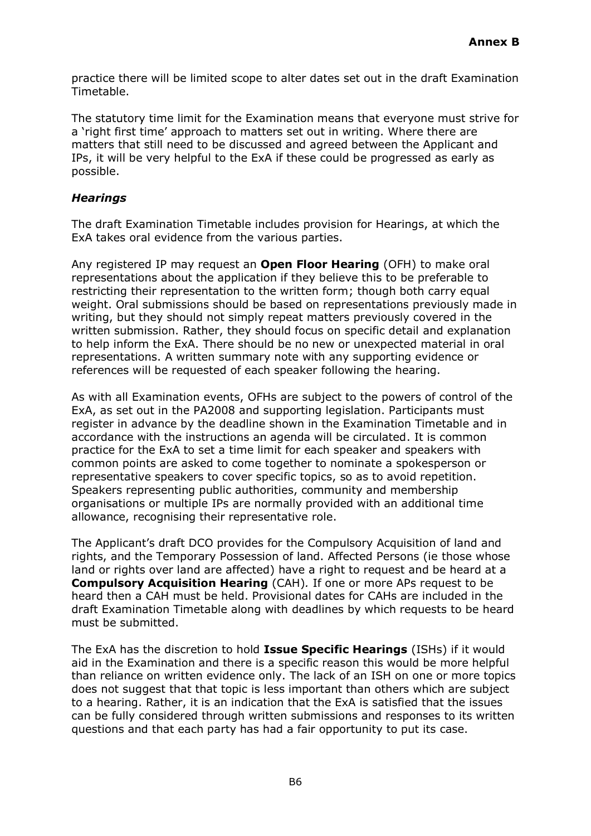practice there will be limited scope to alter dates set out in the draft Examination Timetable.

The statutory time limit for the Examination means that everyone must strive for a 'right first time' approach to matters set out in writing. Where there are matters that still need to be discussed and agreed between the Applicant and IPs, it will be very helpful to the ExA if these could be progressed as early as possible.

#### *Hearings*

The draft Examination Timetable includes provision for Hearings, at which the ExA takes oral evidence from the various parties.

Any registered IP may request an **Open Floor Hearing** (OFH) to make oral representations about the application if they believe this to be preferable to restricting their representation to the written form; though both carry equal weight. Oral submissions should be based on representations previously made in writing, but they should not simply repeat matters previously covered in the written submission. Rather, they should focus on specific detail and explanation to help inform the ExA. There should be no new or unexpected material in oral representations. A written summary note with any supporting evidence or references will be requested of each speaker following the hearing.

As with all Examination events, OFHs are subject to the powers of control of the ExA, as set out in the PA2008 and supporting legislation. Participants must register in advance by the deadline shown in the Examination Timetable and in accordance with the instructions an agenda will be circulated. It is common practice for the ExA to set a time limit for each speaker and speakers with common points are asked to come together to nominate a spokesperson or representative speakers to cover specific topics, so as to avoid repetition. Speakers representing public authorities, community and membership organisations or multiple IPs are normally provided with an additional time allowance, recognising their representative role.

The Applicant's draft DCO provides for the Compulsory Acquisition of land and rights, and the Temporary Possession of land. Affected Persons (ie those whose land or rights over land are affected) have a right to request and be heard at a **Compulsory Acquisition Hearing** (CAH)*.* If one or more APs request to be heard then a CAH must be held. Provisional dates for CAHs are included in the draft Examination Timetable along with deadlines by which requests to be heard must be submitted.

The ExA has the discretion to hold **Issue Specific Hearings** (ISHs) if it would aid in the Examination and there is a specific reason this would be more helpful than reliance on written evidence only. The lack of an ISH on one or more topics does not suggest that that topic is less important than others which are subject to a hearing. Rather, it is an indication that the ExA is satisfied that the issues can be fully considered through written submissions and responses to its written questions and that each party has had a fair opportunity to put its case.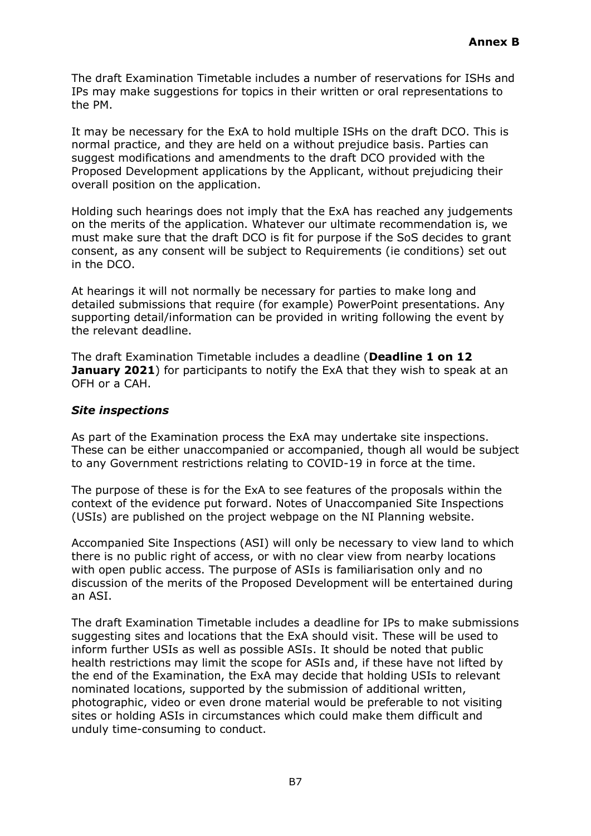The draft Examination Timetable includes a number of reservations for ISHs and IPs may make suggestions for topics in their written or oral representations to the PM.

It may be necessary for the ExA to hold multiple ISHs on the draft DCO. This is normal practice, and they are held on a without prejudice basis. Parties can suggest modifications and amendments to the draft DCO provided with the Proposed Development applications by the Applicant, without prejudicing their overall position on the application.

Holding such hearings does not imply that the ExA has reached any judgements on the merits of the application. Whatever our ultimate recommendation is, we must make sure that the draft DCO is fit for purpose if the SoS decides to grant consent, as any consent will be subject to Requirements (ie conditions) set out in the DCO.

At hearings it will not normally be necessary for parties to make long and detailed submissions that require (for example) PowerPoint presentations. Any supporting detail/information can be provided in writing following the event by the relevant deadline.

The draft Examination Timetable includes a deadline (**Deadline 1 on 12 January 2021**) for participants to notify the ExA that they wish to speak at an OFH or a CAH.

### *Site inspections*

As part of the Examination process the ExA may undertake site inspections. These can be either unaccompanied or accompanied, though all would be subject to any Government restrictions relating to COVID-19 in force at the time.

The purpose of these is for the ExA to see features of the proposals within the context of the evidence put forward. Notes of Unaccompanied Site Inspections (USIs) are published on the project webpage on the NI Planning website.

Accompanied Site Inspections (ASI) will only be necessary to view land to which there is no public right of access, or with no clear view from nearby locations with open public access. The purpose of ASIs is familiarisation only and no discussion of the merits of the Proposed Development will be entertained during an ASI.

The draft Examination Timetable includes a deadline for IPs to make submissions suggesting sites and locations that the ExA should visit. These will be used to inform further USIs as well as possible ASIs. It should be noted that public health restrictions may limit the scope for ASIs and, if these have not lifted by the end of the Examination, the ExA may decide that holding USIs to relevant nominated locations, supported by the submission of additional written, photographic, video or even drone material would be preferable to not visiting sites or holding ASIs in circumstances which could make them difficult and unduly time-consuming to conduct.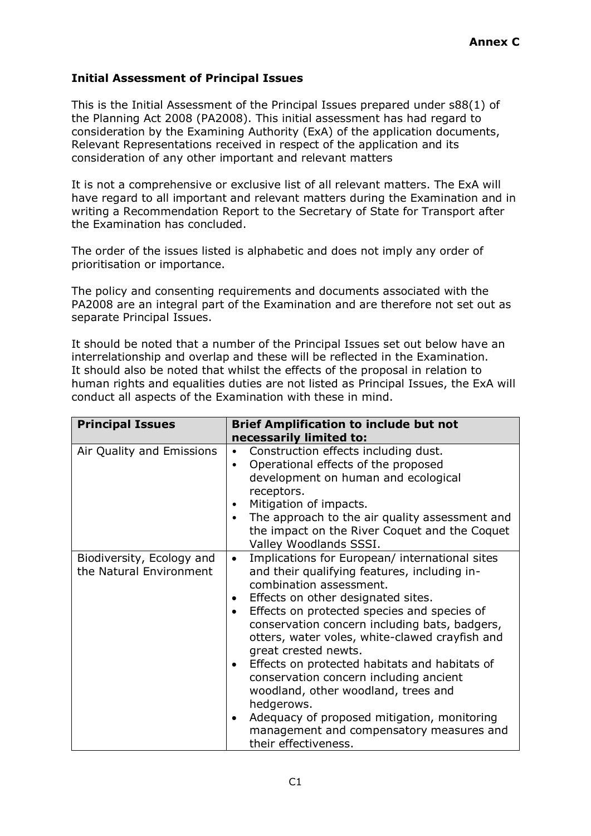# **Initial Assessment of Principal Issues**

This is the Initial Assessment of the Principal Issues prepared under s88(1) of the Planning Act 2008 (PA2008). This initial assessment has had regard to consideration by the Examining Authority (ExA) of the application documents, Relevant Representations received in respect of the application and its consideration of any other important and relevant matters

It is not a comprehensive or exclusive list of all relevant matters. The ExA will have regard to all important and relevant matters during the Examination and in writing a Recommendation Report to the Secretary of State for Transport after the Examination has concluded.

The order of the issues listed is alphabetic and does not imply any order of prioritisation or importance.

The policy and consenting requirements and documents associated with the PA2008 are an integral part of the Examination and are therefore not set out as separate Principal Issues.

It should be noted that a number of the Principal Issues set out below have an interrelationship and overlap and these will be reflected in the Examination. It should also be noted that whilst the effects of the proposal in relation to human rights and equalities duties are not listed as Principal Issues, the ExA will conduct all aspects of the Examination with these in mind.

| <b>Principal Issues</b>                              | <b>Brief Amplification to include but not</b>                                                                                                                                                                                                                                                                                                                                                                                                                                                                                                                                                                                                                 |  |  |
|------------------------------------------------------|---------------------------------------------------------------------------------------------------------------------------------------------------------------------------------------------------------------------------------------------------------------------------------------------------------------------------------------------------------------------------------------------------------------------------------------------------------------------------------------------------------------------------------------------------------------------------------------------------------------------------------------------------------------|--|--|
|                                                      | necessarily limited to:                                                                                                                                                                                                                                                                                                                                                                                                                                                                                                                                                                                                                                       |  |  |
| Air Quality and Emissions                            | Construction effects including dust.<br>$\bullet$<br>Operational effects of the proposed<br>٠<br>development on human and ecological<br>receptors.<br>Mitigation of impacts.<br>٠<br>The approach to the air quality assessment and<br>٠<br>the impact on the River Coquet and the Coquet<br>Valley Woodlands SSSI.                                                                                                                                                                                                                                                                                                                                           |  |  |
| Biodiversity, Ecology and<br>the Natural Environment | Implications for European/ international sites<br>$\bullet$<br>and their qualifying features, including in-<br>combination assessment.<br>Effects on other designated sites.<br>$\bullet$<br>Effects on protected species and species of<br>٠<br>conservation concern including bats, badgers,<br>otters, water voles, white-clawed crayfish and<br>great crested newts.<br>Effects on protected habitats and habitats of<br>$\bullet$<br>conservation concern including ancient<br>woodland, other woodland, trees and<br>hedgerows.<br>Adequacy of proposed mitigation, monitoring<br>٠<br>management and compensatory measures and<br>their effectiveness. |  |  |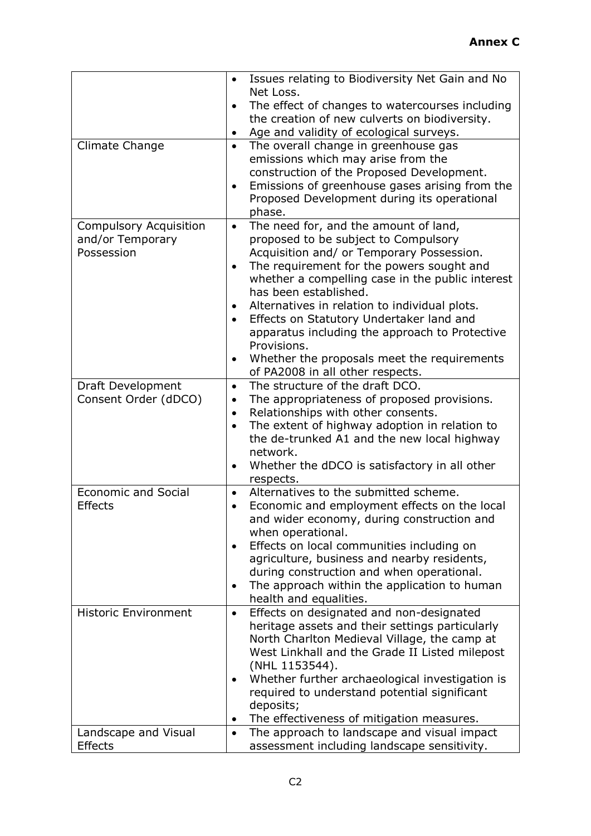|                                            | Issues relating to Biodiversity Net Gain and No    |  |  |
|--------------------------------------------|----------------------------------------------------|--|--|
|                                            | Net Loss.                                          |  |  |
| $\bullet$                                  | The effect of changes to watercourses including    |  |  |
|                                            | the creation of new culverts on biodiversity.      |  |  |
| ٠                                          | Age and validity of ecological surveys.            |  |  |
| Climate Change<br>$\bullet$                | The overall change in greenhouse gas               |  |  |
|                                            | emissions which may arise from the                 |  |  |
|                                            | construction of the Proposed Development.          |  |  |
|                                            | Emissions of greenhouse gases arising from the     |  |  |
|                                            | Proposed Development during its operational        |  |  |
|                                            | phase.                                             |  |  |
| <b>Compulsory Acquisition</b><br>$\bullet$ | The need for, and the amount of land,              |  |  |
| and/or Temporary                           | proposed to be subject to Compulsory               |  |  |
| Possession                                 | Acquisition and/ or Temporary Possession.          |  |  |
| $\bullet$                                  | The requirement for the powers sought and          |  |  |
|                                            | whether a compelling case in the public interest   |  |  |
|                                            | has been established.                              |  |  |
| $\bullet$                                  | Alternatives in relation to individual plots.      |  |  |
|                                            | Effects on Statutory Undertaker land and           |  |  |
|                                            | apparatus including the approach to Protective     |  |  |
|                                            | Provisions.                                        |  |  |
|                                            | Whether the proposals meet the requirements        |  |  |
|                                            | of PA2008 in all other respects.                   |  |  |
| Draft Development<br>$\bullet$             | The structure of the draft DCO.                    |  |  |
| Consent Order (dDCO)<br>$\bullet$          | The appropriateness of proposed provisions.        |  |  |
| $\bullet$                                  | Relationships with other consents.                 |  |  |
| $\bullet$                                  | The extent of highway adoption in relation to      |  |  |
|                                            | the de-trunked A1 and the new local highway        |  |  |
|                                            | network.                                           |  |  |
|                                            | Whether the dDCO is satisfactory in all other      |  |  |
| <b>Economic and Social</b>                 | respects.<br>Alternatives to the submitted scheme. |  |  |
| $\bullet$<br><b>Effects</b>                | Economic and employment effects on the local       |  |  |
|                                            | and wider economy, during construction and         |  |  |
|                                            | when operational.                                  |  |  |
|                                            | Effects on local communities including on          |  |  |
|                                            | agriculture, business and nearby residents,        |  |  |
|                                            | during construction and when operational.          |  |  |
| $\bullet$                                  | The approach within the application to human       |  |  |
|                                            | health and equalities.                             |  |  |
| <b>Historic Environment</b><br>$\bullet$   | Effects on designated and non-designated           |  |  |
|                                            | heritage assets and their settings particularly    |  |  |
|                                            | North Charlton Medieval Village, the camp at       |  |  |
|                                            | West Linkhall and the Grade II Listed milepost     |  |  |
|                                            | (NHL 1153544).                                     |  |  |
|                                            | Whether further archaeological investigation is    |  |  |
|                                            | required to understand potential significant       |  |  |
|                                            | deposits;                                          |  |  |
|                                            | The effectiveness of mitigation measures.          |  |  |
| Landscape and Visual<br>$\bullet$          | The approach to landscape and visual impact        |  |  |
| <b>Effects</b>                             | assessment including landscape sensitivity.        |  |  |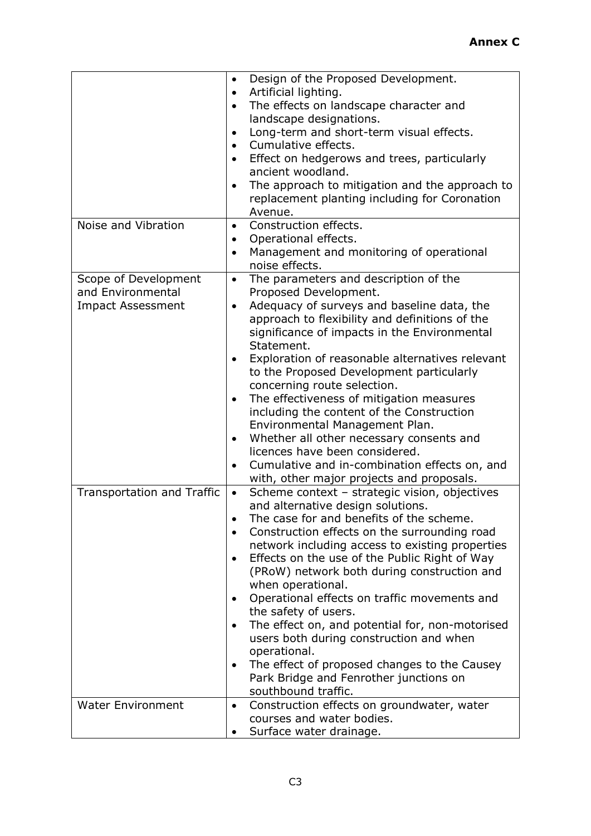|                                                                       | Design of the Proposed Development.<br>٠<br>Artificial lighting.<br>$\bullet$<br>The effects on landscape character and<br>$\bullet$<br>landscape designations.<br>Long-term and short-term visual effects.<br>$\bullet$<br>Cumulative effects.<br>$\bullet$<br>Effect on hedgerows and trees, particularly<br>ancient woodland.<br>The approach to mitigation and the approach to<br>٠<br>replacement planting including for Coronation<br>Avenue.                                                                                                                                                                                                                                                        |
|-----------------------------------------------------------------------|------------------------------------------------------------------------------------------------------------------------------------------------------------------------------------------------------------------------------------------------------------------------------------------------------------------------------------------------------------------------------------------------------------------------------------------------------------------------------------------------------------------------------------------------------------------------------------------------------------------------------------------------------------------------------------------------------------|
| Noise and Vibration                                                   | Construction effects.<br>$\bullet$<br>Operational effects.<br>٠<br>Management and monitoring of operational<br>$\bullet$<br>noise effects.                                                                                                                                                                                                                                                                                                                                                                                                                                                                                                                                                                 |
| Scope of Development<br>and Environmental<br><b>Impact Assessment</b> | The parameters and description of the<br>$\bullet$<br>Proposed Development.<br>Adequacy of surveys and baseline data, the<br>$\bullet$<br>approach to flexibility and definitions of the<br>significance of impacts in the Environmental<br>Statement.<br>Exploration of reasonable alternatives relevant<br>٠<br>to the Proposed Development particularly<br>concerning route selection.<br>The effectiveness of mitigation measures<br>including the content of the Construction<br>Environmental Management Plan.<br>Whether all other necessary consents and<br>٠<br>licences have been considered.<br>Cumulative and in-combination effects on, and<br>٠<br>with, other major projects and proposals. |
| Transportation and Traffic                                            | Scheme context - strategic vision, objectives<br>$\bullet$<br>and alternative design solutions.<br>The case for and benefits of the scheme.<br>Construction effects on the surrounding road<br>network including access to existing properties<br>Effects on the use of the Public Right of Way<br>(PRoW) network both during construction and<br>when operational.<br>Operational effects on traffic movements and<br>the safety of users.<br>The effect on, and potential for, non-motorised<br>users both during construction and when<br>operational.<br>The effect of proposed changes to the Causey<br>Park Bridge and Fenrother junctions on<br>southbound traffic.                                 |
| <b>Water Environment</b>                                              | Construction effects on groundwater, water<br>$\bullet$<br>courses and water bodies.<br>Surface water drainage.                                                                                                                                                                                                                                                                                                                                                                                                                                                                                                                                                                                            |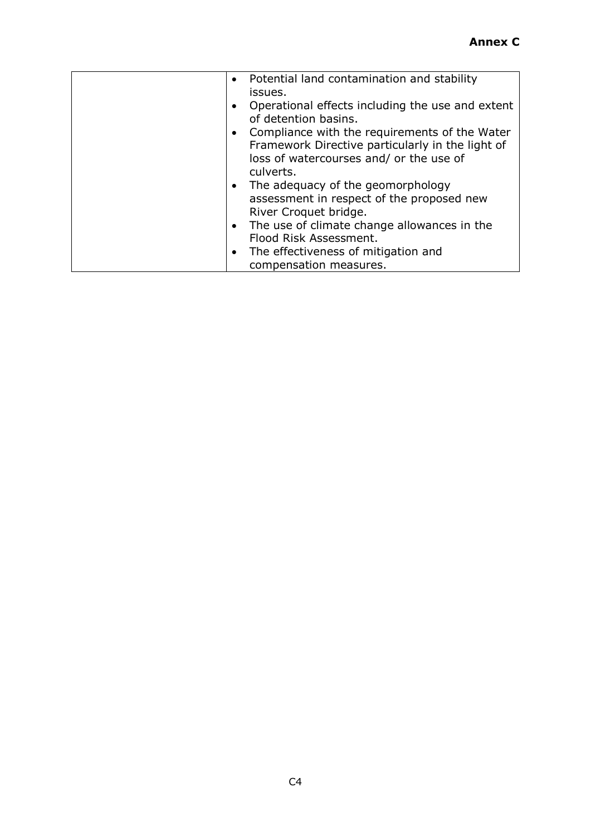| $\bullet$ | Potential land contamination and stability       |
|-----------|--------------------------------------------------|
|           |                                                  |
|           | issues.                                          |
|           | Operational effects including the use and extent |
|           | of detention basins.                             |
|           |                                                  |
|           | • Compliance with the requirements of the Water  |
|           | Framework Directive particularly in the light of |
|           | loss of watercourses and/ or the use of          |
|           |                                                  |
|           | culverts.                                        |
|           | • The adequacy of the geomorphology              |
|           | assessment in respect of the proposed new        |
|           | River Croquet bridge.                            |
|           | • The use of climate change allowances in the    |
|           | Flood Risk Assessment.                           |
|           | • The effectiveness of mitigation and            |
|           | compensation measures.                           |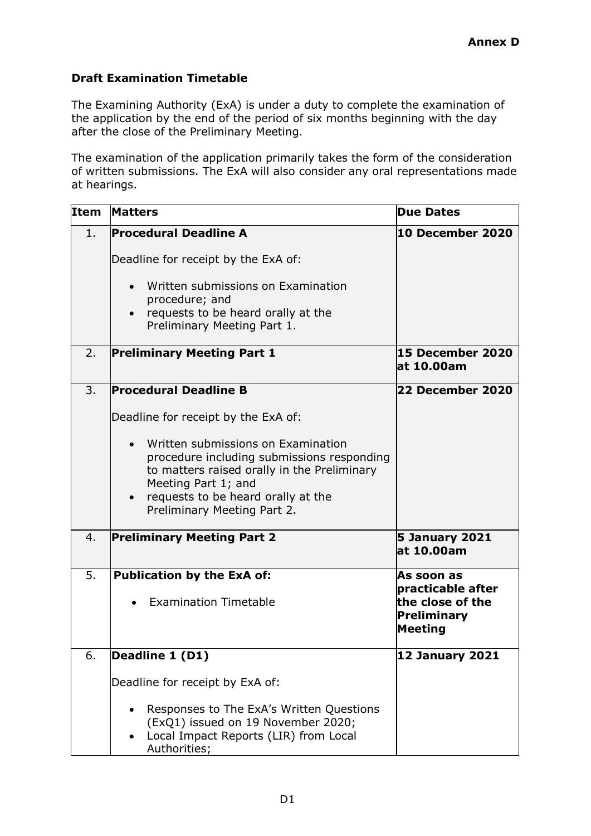# **Draft Examination Timetable**

The Examining Authority (ExA) is under a duty to complete the examination of the application by the end of the period of six months beginning with the day after the close of the Preliminary Meeting.

The examination of the application primarily takes the form of the consideration of written submissions. The ExA will also consider any oral representations made at hearings.

| <b>Item</b> | <b>Matters</b>                                                                                                                                                                                                                                                                                     | <b>Due Dates</b>                                                              |
|-------------|----------------------------------------------------------------------------------------------------------------------------------------------------------------------------------------------------------------------------------------------------------------------------------------------------|-------------------------------------------------------------------------------|
| 1.          | <b>Procedural Deadline A</b><br>Deadline for receipt by the ExA of:<br>Written submissions on Examination<br>procedure; and<br>requests to be heard orally at the<br>$\bullet$<br>Preliminary Meeting Part 1.                                                                                      | 10 December 2020                                                              |
| 2.          | <b>Preliminary Meeting Part 1</b>                                                                                                                                                                                                                                                                  | 15 December 2020<br>at 10.00am                                                |
| 3.          | <b>Procedural Deadline B</b><br>Deadline for receipt by the ExA of:<br>Written submissions on Examination<br>procedure including submissions responding<br>to matters raised orally in the Preliminary<br>Meeting Part 1; and<br>requests to be heard orally at the<br>Preliminary Meeting Part 2. | 22 December 2020                                                              |
| 4.          | <b>Preliminary Meeting Part 2</b>                                                                                                                                                                                                                                                                  | <b>5 January 2021</b><br>at 10.00am                                           |
| 5.          | <b>Publication by the ExA of:</b><br><b>Examination Timetable</b>                                                                                                                                                                                                                                  | As soon as<br>practicable after<br>the close of the<br>Preliminary<br>Meeting |
| 6.          | Deadline 1 (D1)<br>Deadline for receipt by ExA of:<br>Responses to The ExA's Written Questions<br>(ExQ1) issued on 19 November 2020;<br>Local Impact Reports (LIR) from Local<br>Authorities;                                                                                                      | <b>12 January 2021</b>                                                        |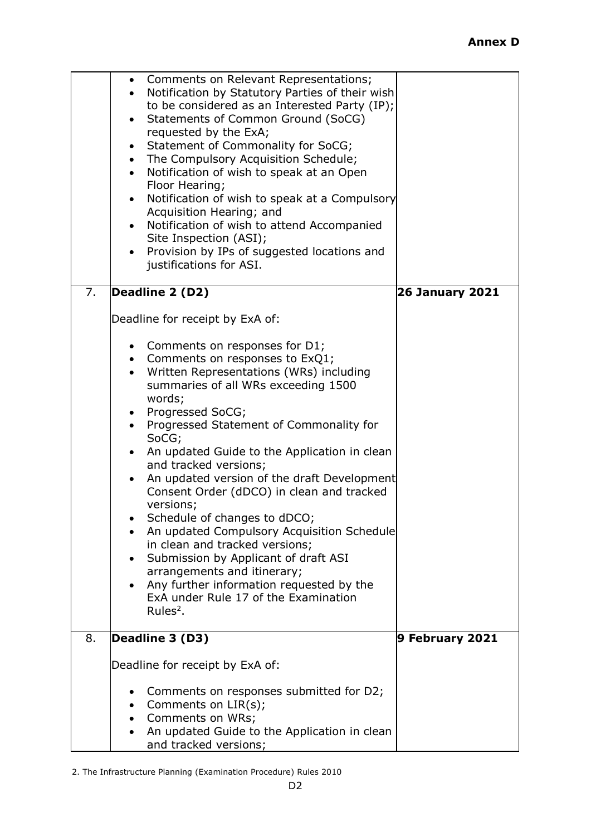|    | Comments on Relevant Representations;<br>$\bullet$                                               |                        |
|----|--------------------------------------------------------------------------------------------------|------------------------|
|    | Notification by Statutory Parties of their wish<br>to be considered as an Interested Party (IP); |                        |
|    | Statements of Common Ground (SoCG)                                                               |                        |
|    | requested by the ExA;                                                                            |                        |
|    | Statement of Commonality for SoCG;<br>The Compulsory Acquisition Schedule;<br>$\bullet$          |                        |
|    | Notification of wish to speak at an Open<br>$\bullet$                                            |                        |
|    | Floor Hearing;                                                                                   |                        |
|    | Notification of wish to speak at a Compulsory<br>$\bullet$<br>Acquisition Hearing; and           |                        |
|    | Notification of wish to attend Accompanied<br>$\bullet$                                          |                        |
|    | Site Inspection (ASI);                                                                           |                        |
|    | Provision by IPs of suggested locations and<br>$\bullet$<br>justifications for ASI.              |                        |
|    |                                                                                                  |                        |
| 7. | Deadline 2 (D2)                                                                                  | <b>26 January 2021</b> |
|    | Deadline for receipt by ExA of:                                                                  |                        |
|    |                                                                                                  |                        |
|    | Comments on responses for D1;<br>$\bullet$                                                       |                        |
|    | • Comments on responses to ExQ1;<br>Written Representations (WRs) including                      |                        |
|    | summaries of all WRs exceeding 1500                                                              |                        |
|    | words;                                                                                           |                        |
|    | Progressed SoCG;                                                                                 |                        |
|    | Progressed Statement of Commonality for<br>SoCG;                                                 |                        |
|    | An updated Guide to the Application in clean<br>$\bullet$                                        |                        |
|    | and tracked versions;<br>An updated version of the draft Development                             |                        |
|    | Consent Order (dDCO) in clean and tracked                                                        |                        |
|    | versions;                                                                                        |                        |
|    | Schedule of changes to dDCO;                                                                     |                        |
|    | An updated Compulsory Acquisition Schedule<br>in clean and tracked versions;                     |                        |
|    | Submission by Applicant of draft ASI                                                             |                        |
|    | arrangements and itinerary;                                                                      |                        |
|    | Any further information requested by the<br>ExA under Rule 17 of the Examination                 |                        |
|    | Rules $2$ .                                                                                      |                        |
|    |                                                                                                  |                        |
| 8. | Deadline 3 (D3)                                                                                  | 9 February 2021        |
|    | Deadline for receipt by ExA of:                                                                  |                        |
|    | Comments on responses submitted for D2;<br>٠                                                     |                        |
|    | Comments on LIR(s);<br>$\bullet$                                                                 |                        |
|    | Comments on WRs;<br>$\bullet$<br>An updated Guide to the Application in clean<br>$\bullet$       |                        |
|    | and tracked versions;                                                                            |                        |

2. The Infrastructure Planning (Examination Procedure) Rules 2010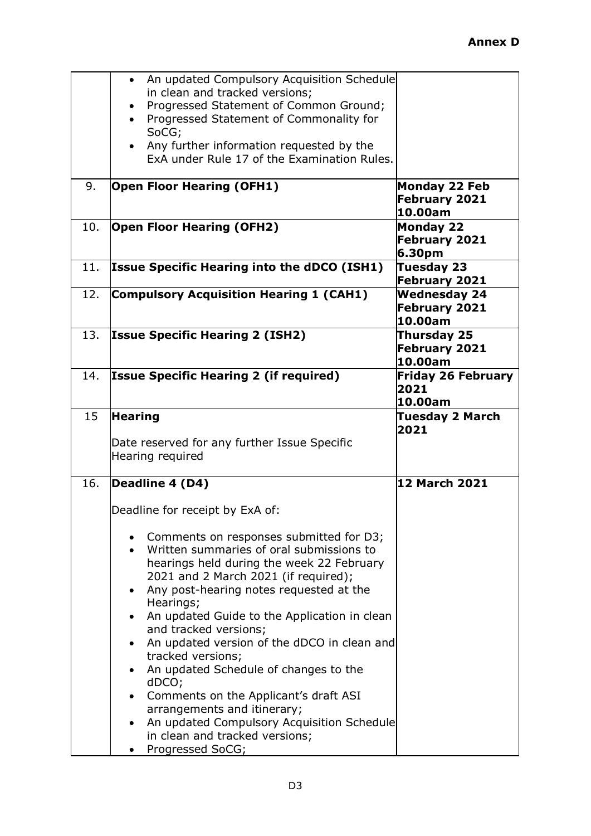|     | An updated Compulsory Acquisition Schedule<br>$\bullet$                           |                                   |
|-----|-----------------------------------------------------------------------------------|-----------------------------------|
|     | in clean and tracked versions;                                                    |                                   |
|     | Progressed Statement of Common Ground;<br>Progressed Statement of Commonality for |                                   |
|     | SoCG;                                                                             |                                   |
|     | Any further information requested by the<br>$\bullet$                             |                                   |
|     | ExA under Rule 17 of the Examination Rules.                                       |                                   |
|     |                                                                                   |                                   |
| 9.  | <b>Open Floor Hearing (OFH1)</b>                                                  | Monday 22 Feb                     |
|     |                                                                                   | <b>February 2021</b>              |
|     |                                                                                   | 10.00am                           |
| 10. | <b>Open Floor Hearing (OFH2)</b>                                                  | <b>Monday 22</b><br>February 2021 |
|     |                                                                                   | 6.30pm                            |
| 11. | <b>Issue Specific Hearing into the dDCO (ISH1)</b>                                | Tuesday 23                        |
|     |                                                                                   | <b>February 2021</b>              |
| 12. | <b>Compulsory Acquisition Hearing 1 (CAH1)</b>                                    | <b>Wednesday 24</b>               |
|     |                                                                                   | February 2021                     |
|     |                                                                                   | 10.00am                           |
| 13. | <b>Issue Specific Hearing 2 (ISH2)</b>                                            | Thursday 25                       |
|     |                                                                                   | February 2021<br>10.00am          |
| 14. | <b>Issue Specific Hearing 2 (if required)</b>                                     | <b>Friday 26 February</b>         |
|     |                                                                                   | 2021                              |
|     |                                                                                   | 10.00am                           |
| 15  | <b>Hearing</b>                                                                    | <b>Tuesday 2 March</b>            |
|     |                                                                                   | 2021                              |
|     | Date reserved for any further Issue Specific                                      |                                   |
|     | Hearing required                                                                  |                                   |
| 16. | Deadline 4 (D4)                                                                   | <b>12 March 2021</b>              |
|     |                                                                                   |                                   |
|     | Deadline for receipt by ExA of:                                                   |                                   |
|     |                                                                                   |                                   |
|     | Comments on responses submitted for D3;                                           |                                   |
|     | Written summaries of oral submissions to                                          |                                   |
|     | hearings held during the week 22 February                                         |                                   |
|     |                                                                                   |                                   |
|     | 2021 and 2 March 2021 (if required);                                              |                                   |
|     | Any post-hearing notes requested at the                                           |                                   |
|     | Hearings;<br>An updated Guide to the Application in clean                         |                                   |
|     | and tracked versions;                                                             |                                   |
|     | An updated version of the dDCO in clean and                                       |                                   |
|     | tracked versions;                                                                 |                                   |
|     | An updated Schedule of changes to the                                             |                                   |
|     | dDCO;                                                                             |                                   |
|     | Comments on the Applicant's draft ASI                                             |                                   |
|     | arrangements and itinerary;<br>$\bullet$                                          |                                   |
|     | An updated Compulsory Acquisition Schedule<br>in clean and tracked versions;      |                                   |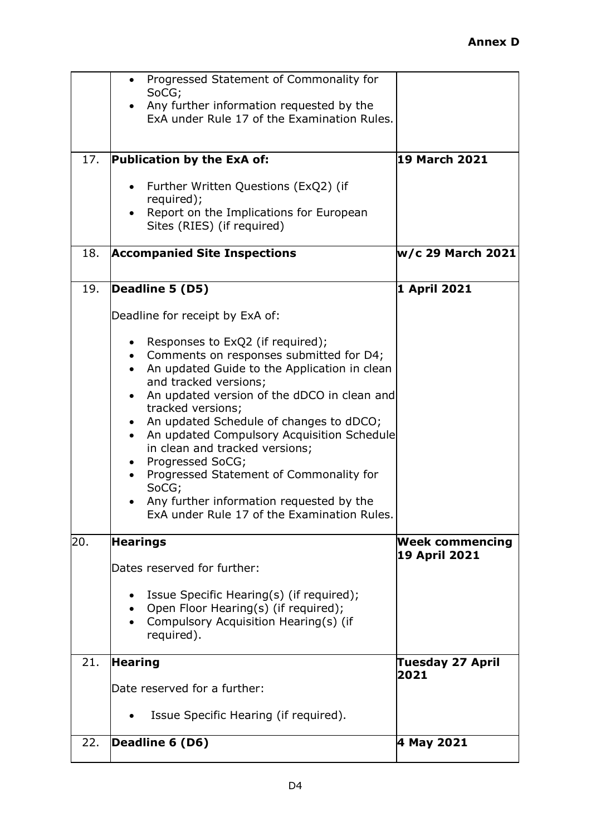|     | Progressed Statement of Commonality for<br>$\bullet$<br>SoCG;                                                                                                                                                                                                                                                                                                                                                                                                                                                                                          |                                 |
|-----|--------------------------------------------------------------------------------------------------------------------------------------------------------------------------------------------------------------------------------------------------------------------------------------------------------------------------------------------------------------------------------------------------------------------------------------------------------------------------------------------------------------------------------------------------------|---------------------------------|
|     | Any further information requested by the<br>ExA under Rule 17 of the Examination Rules.                                                                                                                                                                                                                                                                                                                                                                                                                                                                |                                 |
|     |                                                                                                                                                                                                                                                                                                                                                                                                                                                                                                                                                        |                                 |
| 17. | Publication by the ExA of:                                                                                                                                                                                                                                                                                                                                                                                                                                                                                                                             | <b>19 March 2021</b>            |
|     | Further Written Questions (ExQ2) (if<br>required);<br>Report on the Implications for European<br>Sites (RIES) (if required)                                                                                                                                                                                                                                                                                                                                                                                                                            |                                 |
|     |                                                                                                                                                                                                                                                                                                                                                                                                                                                                                                                                                        |                                 |
| 18. | <b>Accompanied Site Inspections</b>                                                                                                                                                                                                                                                                                                                                                                                                                                                                                                                    | w/c 29 March 2021               |
| 19. | Deadline 5 (D5)                                                                                                                                                                                                                                                                                                                                                                                                                                                                                                                                        | 1 April 2021                    |
|     | Deadline for receipt by ExA of:                                                                                                                                                                                                                                                                                                                                                                                                                                                                                                                        |                                 |
| 20. | Responses to ExQ2 (if required);<br>Comments on responses submitted for D4;<br>An updated Guide to the Application in clean<br>and tracked versions;<br>An updated version of the dDCO in clean and<br>tracked versions;<br>An updated Schedule of changes to dDCO;<br>An updated Compulsory Acquisition Schedule<br>in clean and tracked versions;<br>Progressed SoCG;<br>$\bullet$<br>Progressed Statement of Commonality for<br>SoCG;<br>Any further information requested by the<br>ExA under Rule 17 of the Examination Rules.<br><b>Hearings</b> | <b>Week commencing</b>          |
|     | Dates reserved for further:                                                                                                                                                                                                                                                                                                                                                                                                                                                                                                                            | <b>19 April 2021</b>            |
|     | Issue Specific Hearing(s) (if required);<br>Open Floor Hearing(s) (if required);<br>Compulsory Acquisition Hearing(s) (if<br>required).                                                                                                                                                                                                                                                                                                                                                                                                                |                                 |
| 21. | <b>Hearing</b>                                                                                                                                                                                                                                                                                                                                                                                                                                                                                                                                         | <b>Tuesday 27 April</b><br>2021 |
|     | Date reserved for a further:                                                                                                                                                                                                                                                                                                                                                                                                                                                                                                                           |                                 |
|     | Issue Specific Hearing (if required).                                                                                                                                                                                                                                                                                                                                                                                                                                                                                                                  |                                 |
| 22. | Deadline 6 (D6)                                                                                                                                                                                                                                                                                                                                                                                                                                                                                                                                        | 4 May 2021                      |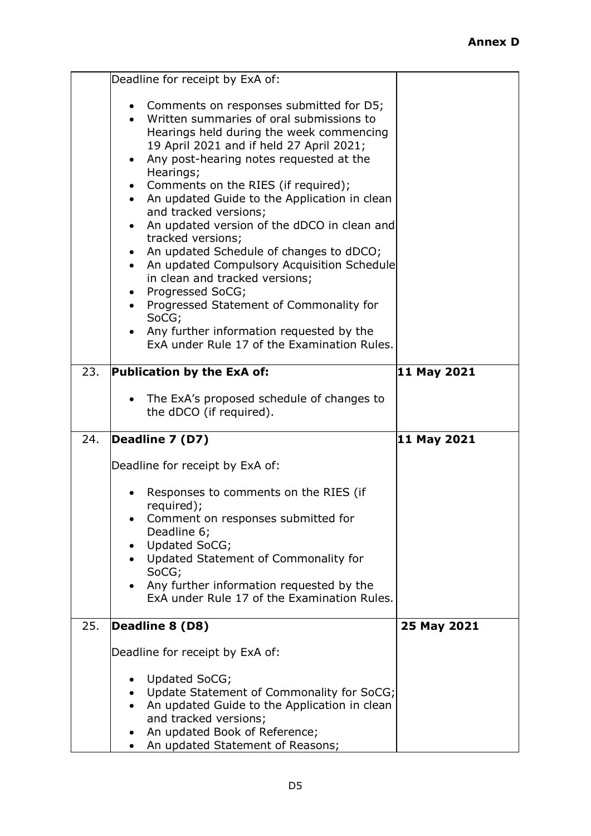|     | Deadline for receipt by ExA of:                                                                                                                                                                                                                                                                                                                                                                                                                                                                                                                                                                                                                                                       |             |
|-----|---------------------------------------------------------------------------------------------------------------------------------------------------------------------------------------------------------------------------------------------------------------------------------------------------------------------------------------------------------------------------------------------------------------------------------------------------------------------------------------------------------------------------------------------------------------------------------------------------------------------------------------------------------------------------------------|-------------|
|     | Comments on responses submitted for D5;<br>Written summaries of oral submissions to<br>Hearings held during the week commencing<br>19 April 2021 and if held 27 April 2021;<br>Any post-hearing notes requested at the<br>Hearings;<br>Comments on the RIES (if required);<br>• An updated Guide to the Application in clean<br>and tracked versions;<br>An updated version of the dDCO in clean and<br>tracked versions;<br>An updated Schedule of changes to dDCO;<br>An updated Compulsory Acquisition Schedule<br>in clean and tracked versions;<br>Progressed SoCG;<br>$\bullet$<br>Progressed Statement of Commonality for<br>SoCG;<br>Any further information requested by the |             |
|     | ExA under Rule 17 of the Examination Rules.                                                                                                                                                                                                                                                                                                                                                                                                                                                                                                                                                                                                                                           |             |
| 23. | Publication by the ExA of:                                                                                                                                                                                                                                                                                                                                                                                                                                                                                                                                                                                                                                                            | 11 May 2021 |
|     | The ExA's proposed schedule of changes to<br>the dDCO (if required).                                                                                                                                                                                                                                                                                                                                                                                                                                                                                                                                                                                                                  |             |
| 24. | Deadline 7 (D7)                                                                                                                                                                                                                                                                                                                                                                                                                                                                                                                                                                                                                                                                       | 11 May 2021 |
|     | Deadline for receipt by ExA of:                                                                                                                                                                                                                                                                                                                                                                                                                                                                                                                                                                                                                                                       |             |
|     | Responses to comments on the RIES (if<br>required);                                                                                                                                                                                                                                                                                                                                                                                                                                                                                                                                                                                                                                   |             |
|     | Comment on responses submitted for<br>Deadline 6;                                                                                                                                                                                                                                                                                                                                                                                                                                                                                                                                                                                                                                     |             |
|     | Updated SoCG;<br>Updated Statement of Commonality for                                                                                                                                                                                                                                                                                                                                                                                                                                                                                                                                                                                                                                 |             |
|     | SoCG;<br>Any further information requested by the<br>ExA under Rule 17 of the Examination Rules.                                                                                                                                                                                                                                                                                                                                                                                                                                                                                                                                                                                      |             |
| 25. | Deadline 8 (D8)                                                                                                                                                                                                                                                                                                                                                                                                                                                                                                                                                                                                                                                                       | 25 May 2021 |
|     | Deadline for receipt by ExA of:                                                                                                                                                                                                                                                                                                                                                                                                                                                                                                                                                                                                                                                       |             |
|     | Updated SoCG;                                                                                                                                                                                                                                                                                                                                                                                                                                                                                                                                                                                                                                                                         |             |
|     | Update Statement of Commonality for SoCG;<br>$\bullet$<br>An updated Guide to the Application in clean                                                                                                                                                                                                                                                                                                                                                                                                                                                                                                                                                                                |             |
|     | and tracked versions;<br>An updated Book of Reference;                                                                                                                                                                                                                                                                                                                                                                                                                                                                                                                                                                                                                                |             |
|     | An updated Statement of Reasons;                                                                                                                                                                                                                                                                                                                                                                                                                                                                                                                                                                                                                                                      |             |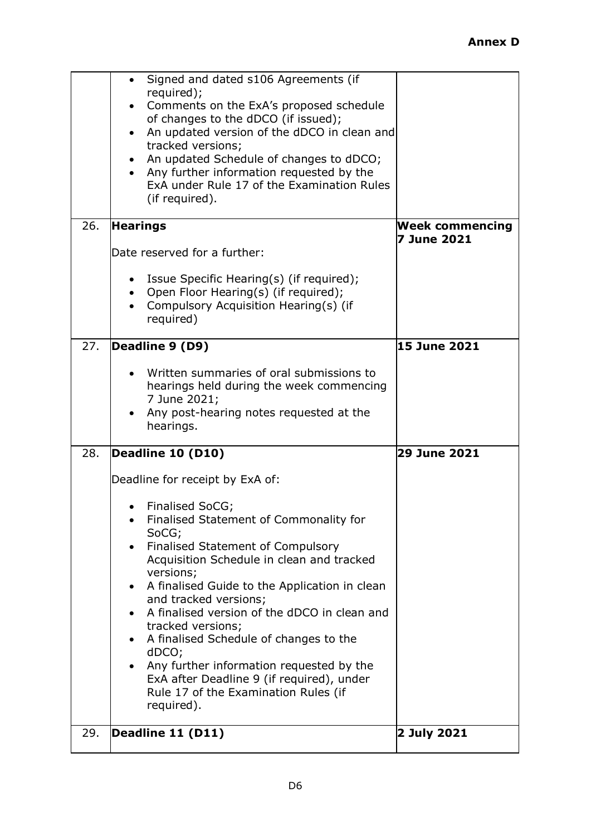| 29. | Rule 17 of the Examination Rules (if<br>required).<br>Deadline 11 (D11)                                                                                                                                                                                                                                                                                                                                                                                                                                                                | 2 July 2021                                  |
|-----|----------------------------------------------------------------------------------------------------------------------------------------------------------------------------------------------------------------------------------------------------------------------------------------------------------------------------------------------------------------------------------------------------------------------------------------------------------------------------------------------------------------------------------------|----------------------------------------------|
| 28. | Deadline 10 (D10)<br>Deadline for receipt by ExA of:<br>Finalised SoCG;<br>Finalised Statement of Commonality for<br>٠<br>SoCG;<br>Finalised Statement of Compulsory<br>Acquisition Schedule in clean and tracked<br>versions;<br>A finalised Guide to the Application in clean<br>$\bullet$<br>and tracked versions;<br>A finalised version of the dDCO in clean and<br>tracked versions;<br>A finalised Schedule of changes to the<br>dDCO;<br>Any further information requested by the<br>ExA after Deadline 9 (if required), under | <b>29 June 2021</b>                          |
| 27. | Deadline 9 (D9)<br>Written summaries of oral submissions to<br>hearings held during the week commencing<br>7 June 2021;<br>Any post-hearing notes requested at the<br>hearings.                                                                                                                                                                                                                                                                                                                                                        | <b>15 June 2021</b>                          |
| 26. | <b>Hearings</b><br>Date reserved for a further:<br>Issue Specific Hearing(s) (if required);<br>Open Floor Hearing(s) (if required);<br>Compulsory Acquisition Hearing(s) (if<br>required)                                                                                                                                                                                                                                                                                                                                              | <b>Week commencing</b><br><b>7 June 2021</b> |
|     | Signed and dated s106 Agreements (if<br>$\bullet$<br>required);<br>Comments on the ExA's proposed schedule<br>of changes to the dDCO (if issued);<br>An updated version of the dDCO in clean and<br>$\bullet$<br>tracked versions;<br>An updated Schedule of changes to dDCO;<br>Any further information requested by the<br>ExA under Rule 17 of the Examination Rules<br>(if required).                                                                                                                                              |                                              |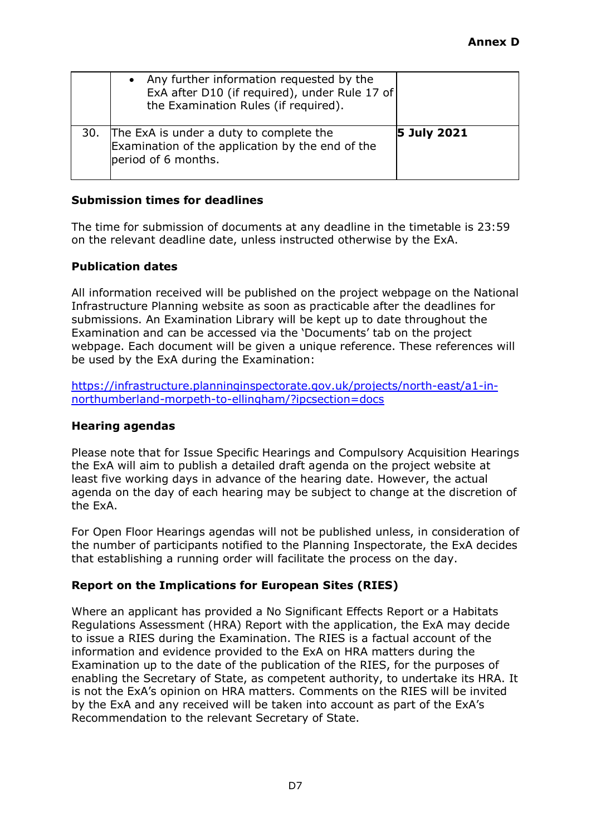|     | Any further information requested by the<br>ExA after D10 (if required), under Rule 17 of<br>the Examination Rules (if required). |                    |
|-----|-----------------------------------------------------------------------------------------------------------------------------------|--------------------|
| 30. | The ExA is under a duty to complete the<br>Examination of the application by the end of the<br>period of 6 months.                | <b>5 July 2021</b> |

### **Submission times for deadlines**

The time for submission of documents at any deadline in the timetable is 23:59 on the relevant deadline date, unless instructed otherwise by the ExA.

#### **Publication dates**

All information received will be published on the project webpage on the National Infrastructure Planning website as soon as practicable after the deadlines for submissions. An Examination Library will be kept up to date throughout the Examination and can be accessed via the 'Documents' tab on the project webpage. Each document will be given a unique reference. These references will be used by the ExA during the Examination:

[https://infrastructure.planninginspectorate.gov.uk/projects/north-east/a1-in](https://infrastructure.planninginspectorate.gov.uk/projects/north-east/a1-in-northumberland-morpeth-to-ellingham/?ipcsection=docs)[northumberland-morpeth-to-ellingham/?ipcsection=docs](https://infrastructure.planninginspectorate.gov.uk/projects/north-east/a1-in-northumberland-morpeth-to-ellingham/?ipcsection=docs)

#### **Hearing agendas**

Please note that for Issue Specific Hearings and Compulsory Acquisition Hearings the ExA will aim to publish a detailed draft agenda on the project website at least five working days in advance of the hearing date. However, the actual agenda on the day of each hearing may be subject to change at the discretion of the ExA.

For Open Floor Hearings agendas will not be published unless, in consideration of the number of participants notified to the Planning Inspectorate, the ExA decides that establishing a running order will facilitate the process on the day.

### **Report on the Implications for European Sites (RIES)**

Where an applicant has provided a No Significant Effects Report or a Habitats Regulations Assessment (HRA) Report with the application, the ExA may decide to issue a RIES during the Examination. The RIES is a factual account of the information and evidence provided to the ExA on HRA matters during the Examination up to the date of the publication of the RIES, for the purposes of enabling the Secretary of State, as competent authority, to undertake its HRA. It is not the ExA's opinion on HRA matters. Comments on the RIES will be invited by the ExA and any received will be taken into account as part of the ExA's Recommendation to the relevant Secretary of State.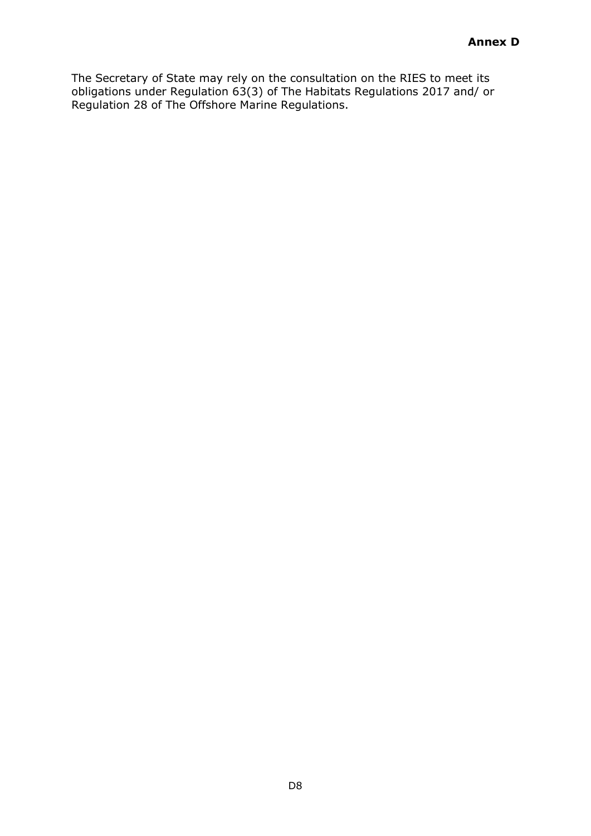The Secretary of State may rely on the consultation on the RIES to meet its obligations under Regulation 63(3) of The Habitats Regulations 2017 and/ or Regulation 28 of The Offshore Marine Regulations.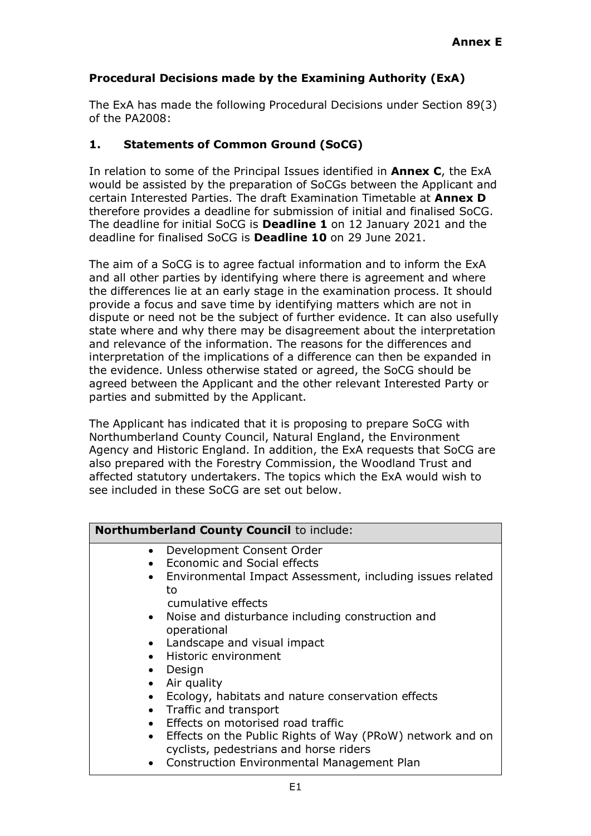# **Procedural Decisions made by the Examining Authority (ExA)**

The ExA has made the following Procedural Decisions under Section 89(3) of the PA2008:

# **1. Statements of Common Ground (SoCG)**

In relation to some of the Principal Issues identified in **Annex C**, the ExA would be assisted by the preparation of SoCGs between the Applicant and certain Interested Parties. The draft Examination Timetable at **Annex D** therefore provides a deadline for submission of initial and finalised SoCG. The deadline for initial SoCG is **Deadline 1** on 12 January 2021 and the deadline for finalised SoCG is **Deadline 10** on 29 June 2021.

The aim of a SoCG is to agree factual information and to inform the ExA and all other parties by identifying where there is agreement and where the differences lie at an early stage in the examination process. It should provide a focus and save time by identifying matters which are not in dispute or need not be the subject of further evidence. It can also usefully state where and why there may be disagreement about the interpretation and relevance of the information. The reasons for the differences and interpretation of the implications of a difference can then be expanded in the evidence. Unless otherwise stated or agreed, the SoCG should be agreed between the Applicant and the other relevant Interested Party or parties and submitted by the Applicant.

The Applicant has indicated that it is proposing to prepare SoCG with Northumberland County Council, Natural England, the Environment Agency and Historic England. In addition, the ExA requests that SoCG are also prepared with the Forestry Commission, the Woodland Trust and affected statutory undertakers. The topics which the ExA would wish to see included in these SoCG are set out below.

| <b>Northumberland County Council to include:</b> |                                                             |  |
|--------------------------------------------------|-------------------------------------------------------------|--|
| $\bullet$                                        | Development Consent Order                                   |  |
|                                                  | • Economic and Social effects                               |  |
|                                                  | • Environmental Impact Assessment, including issues related |  |
|                                                  | to                                                          |  |
|                                                  | cumulative effects                                          |  |
|                                                  | • Noise and disturbance including construction and          |  |
|                                                  | operational                                                 |  |
|                                                  | • Landscape and visual impact                               |  |
|                                                  | Historic environment                                        |  |
| $\bullet$                                        | Design                                                      |  |
| $\bullet$                                        | Air quality                                                 |  |
|                                                  | Ecology, habitats and nature conservation effects           |  |
| $\bullet$                                        | Traffic and transport                                       |  |
|                                                  | Effects on motorised road traffic                           |  |
| $\bullet$                                        | Effects on the Public Rights of Way (PRoW) network and on   |  |
|                                                  | cyclists, pedestrians and horse riders                      |  |
|                                                  | Construction Environmental Management Plan                  |  |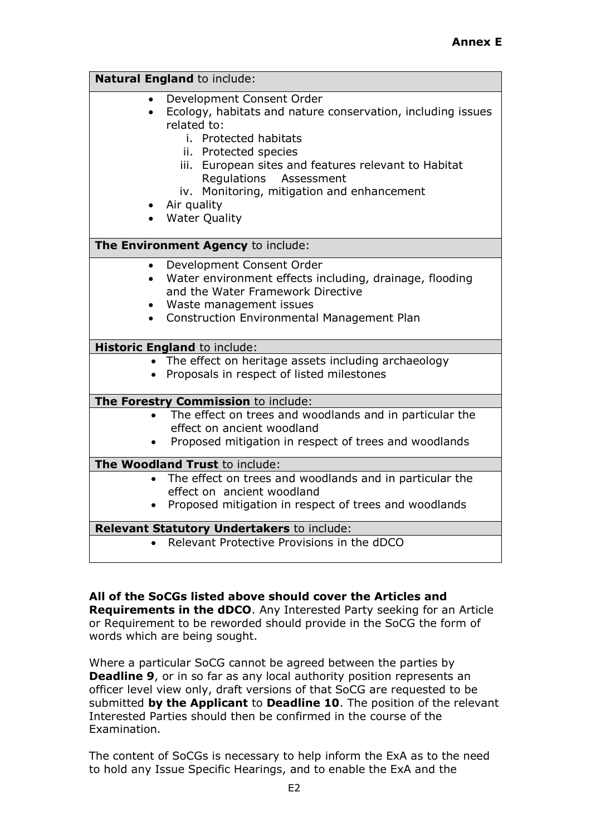|           | Natural England to include:                                                                                                                                                                                                                                                                                                   |  |  |  |  |
|-----------|-------------------------------------------------------------------------------------------------------------------------------------------------------------------------------------------------------------------------------------------------------------------------------------------------------------------------------|--|--|--|--|
| $\bullet$ | Development Consent Order<br>Ecology, habitats and nature conservation, including issues<br>related to:<br>i. Protected habitats<br>ii. Protected species<br>iii. European sites and features relevant to Habitat<br>Regulations Assessment<br>iv. Monitoring, mitigation and enhancement<br>• Air quality<br>• Water Quality |  |  |  |  |
|           | The Environment Agency to include:                                                                                                                                                                                                                                                                                            |  |  |  |  |
|           | Development Consent Order<br>Water environment effects including, drainage, flooding<br>and the Water Framework Directive<br>Waste management issues<br><b>Construction Environmental Management Plan</b>                                                                                                                     |  |  |  |  |
|           | <b>Historic England to include:</b>                                                                                                                                                                                                                                                                                           |  |  |  |  |
| $\bullet$ | • The effect on heritage assets including archaeology<br>Proposals in respect of listed milestones                                                                                                                                                                                                                            |  |  |  |  |
|           | The Forestry Commission to include:                                                                                                                                                                                                                                                                                           |  |  |  |  |
|           | The effect on trees and woodlands and in particular the<br>effect on ancient woodland<br>Proposed mitigation in respect of trees and woodlands                                                                                                                                                                                |  |  |  |  |
|           | The Woodland Trust to include:                                                                                                                                                                                                                                                                                                |  |  |  |  |
| $\bullet$ | The effect on trees and woodlands and in particular the<br>effect on ancient woodland<br>Proposed mitigation in respect of trees and woodlands<br>Relevant Statutory Undertakers to include:                                                                                                                                  |  |  |  |  |
|           | Relevant Protective Provisions in the dDCO                                                                                                                                                                                                                                                                                    |  |  |  |  |
|           |                                                                                                                                                                                                                                                                                                                               |  |  |  |  |

### **All of the SoCGs listed above should cover the Articles and**

**Requirements in the dDCO**. Any Interested Party seeking for an Article or Requirement to be reworded should provide in the SoCG the form of words which are being sought.

Where a particular SoCG cannot be agreed between the parties by **Deadline 9**, or in so far as any local authority position represents an officer level view only, draft versions of that SoCG are requested to be submitted **by the Applicant** to **Deadline 10**. The position of the relevant Interested Parties should then be confirmed in the course of the Examination.

The content of SoCGs is necessary to help inform the ExA as to the need to hold any Issue Specific Hearings, and to enable the ExA and the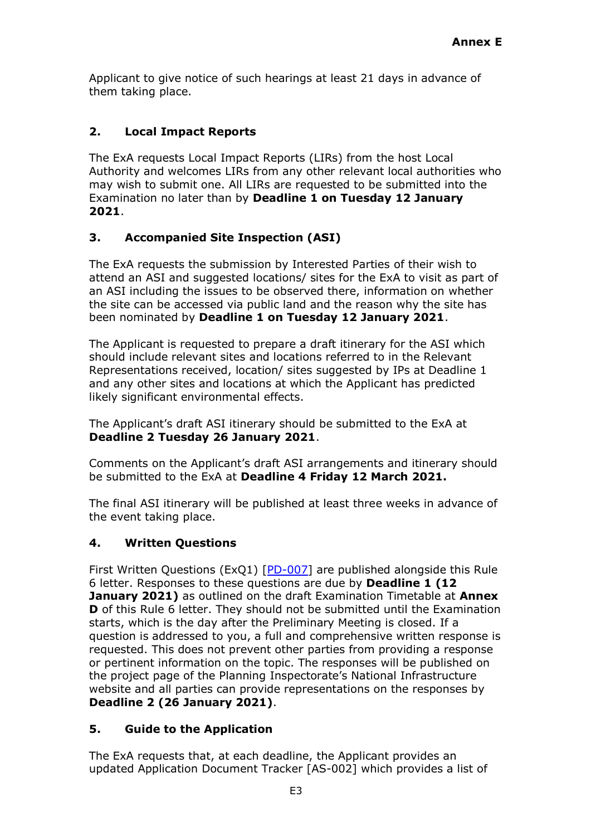Applicant to give notice of such hearings at least 21 days in advance of them taking place.

# **2. Local Impact Reports**

The ExA requests Local Impact Reports (LIRs) from the host Local Authority and welcomes LIRs from any other relevant local authorities who may wish to submit one. All LIRs are requested to be submitted into the Examination no later than by **Deadline 1 on Tuesday 12 January 2021**.

# **3. Accompanied Site Inspection (ASI)**

The ExA requests the submission by Interested Parties of their wish to attend an ASI and suggested locations/ sites for the ExA to visit as part of an ASI including the issues to be observed there, information on whether the site can be accessed via public land and the reason why the site has been nominated by **Deadline 1 on Tuesday 12 January 2021**.

The Applicant is requested to prepare a draft itinerary for the ASI which should include relevant sites and locations referred to in the Relevant Representations received, location/ sites suggested by IPs at Deadline 1 and any other sites and locations at which the Applicant has predicted likely significant environmental effects.

The Applicant's draft ASI itinerary should be submitted to the ExA at **Deadline 2 Tuesday 26 January 2021**.

Comments on the Applicant's draft ASI arrangements and itinerary should be submitted to the ExA at **Deadline 4 Friday 12 March 2021.**

The final ASI itinerary will be published at least three weeks in advance of the event taking place.

# **4. Written Questions**

First Written Questions (ExQ1) [\[PD-007\]](http://infrastructure.planninginspectorate.gov.uk/document/TR010059-000892) are published alongside this Rule 6 letter. Responses to these questions are due by **Deadline 1 (12 January 2021)** as outlined on the draft Examination Timetable at **Annex D** of this Rule 6 letter. They should not be submitted until the Examination starts, which is the day after the Preliminary Meeting is closed. If a question is addressed to you, a full and comprehensive written response is requested. This does not prevent other parties from providing a response or pertinent information on the topic. The responses will be published on the project page of the Planning Inspectorate's National Infrastructure website and all parties can provide representations on the responses by **Deadline 2 (26 January 2021)**.

# **5. Guide to the Application**

The ExA requests that, at each deadline, the Applicant provides an updated Application Document Tracker [AS-002] which provides a list of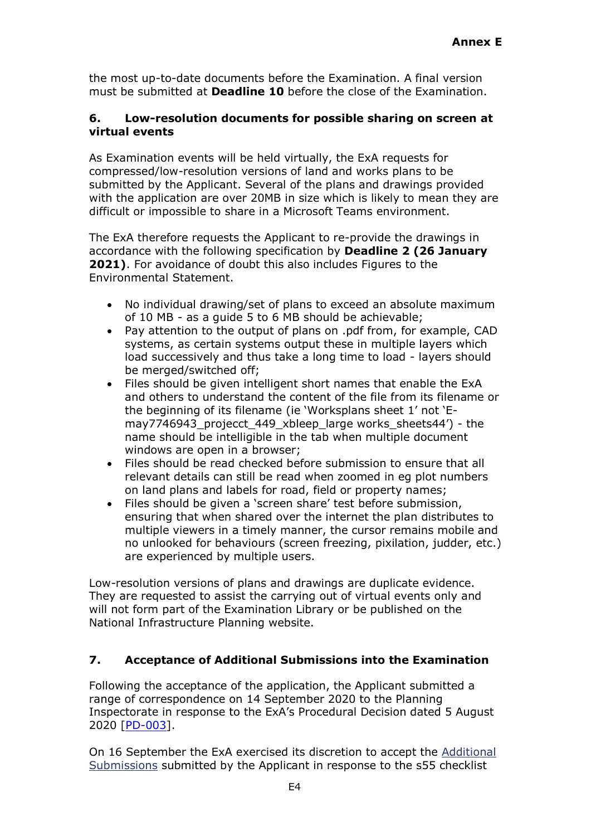the most up-to-date documents before the Examination. A final version must be submitted at **Deadline 10** before the close of the Examination.

### **6. Low-resolution documents for possible sharing on screen at virtual events**

As Examination events will be held virtually, the ExA requests for compressed/low-resolution versions of land and works plans to be submitted by the Applicant. Several of the plans and drawings provided with the application are over 20MB in size which is likely to mean they are difficult or impossible to share in a Microsoft Teams environment.

The ExA therefore requests the Applicant to re-provide the drawings in accordance with the following specification by **Deadline 2 (26 January 2021)**. For avoidance of doubt this also includes Figures to the Environmental Statement.

- No individual drawing/set of plans to exceed an absolute maximum of 10 MB - as a guide 5 to 6 MB should be achievable;
- Pay attention to the output of plans on .pdf from, for example, CAD systems, as certain systems output these in multiple layers which load successively and thus take a long time to load - layers should be merged/switched off;
- Files should be given intelligent short names that enable the ExA and others to understand the content of the file from its filename or the beginning of its filename (ie 'Worksplans sheet 1' not 'Emay7746943\_projecct\_449\_xbleep\_large works\_sheets44') - the name should be intelligible in the tab when multiple document windows are open in a browser;
- Files should be read checked before submission to ensure that all relevant details can still be read when zoomed in eg plot numbers on land plans and labels for road, field or property names;
- Files should be given a 'screen share' test before submission, ensuring that when shared over the internet the plan distributes to multiple viewers in a timely manner, the cursor remains mobile and no unlooked for behaviours (screen freezing, pixilation, judder, etc.) are experienced by multiple users.

Low-resolution versions of plans and drawings are duplicate evidence. They are requested to assist the carrying out of virtual events only and will not form part of the Examination Library or be published on the National Infrastructure Planning website.

# **7. Acceptance of Additional Submissions into the Examination**

Following the acceptance of the application, the Applicant submitted a range of correspondence on 14 September 2020 to the Planning Inspectorate in response to the ExA's Procedural Decision dated 5 August 2020 [\[PD-003\]](https://infrastructure.planninginspectorate.gov.uk/wp-content/ipc/uploads/projects/TR010059/TR010059-000827-Procedural%20Decision%20after%20Acceptance.pdf).

On 16 September the ExA exercised its discretion to accept the [Additional](https://infrastructure.planninginspectorate.gov.uk/projects/north-east/a1-in-northumberland-morpeth-to-ellingham/?ipcsection=docs&stage=3&filter1=Additional+Submissions) [Submissions](https://infrastructure.planninginspectorate.gov.uk/projects/north-east/a1-in-northumberland-morpeth-to-ellingham/?ipcsection=docs&stage=3&filter1=Additional+Submissions) submitted by the Applicant in response to the s55 checklist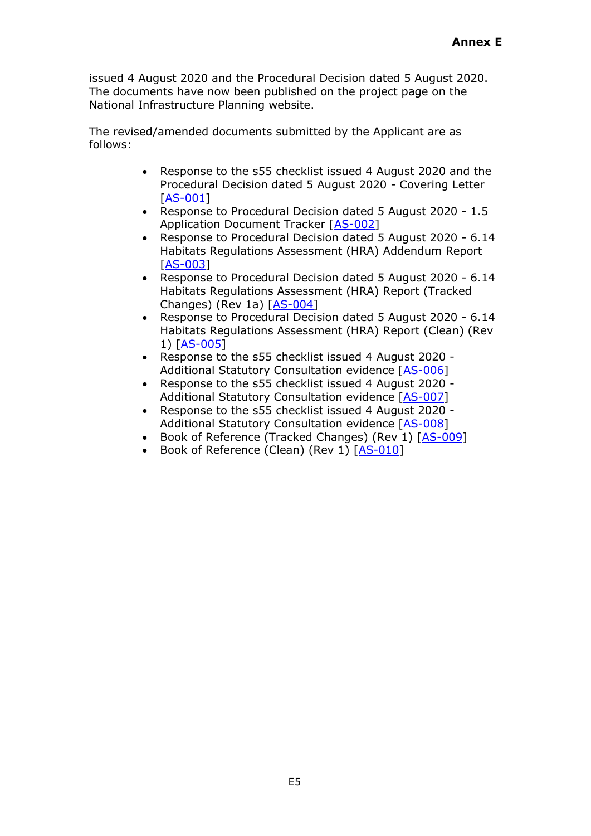issued 4 August 2020 and the Procedural Decision dated 5 August 2020. The documents have now been published on the project page on the National Infrastructure Planning website.

The revised/amended documents submitted by the Applicant are as follows:

- Response to the s55 checklist issued 4 August 2020 and the Procedural Decision dated 5 August 2020 - Covering Letter [\[AS-001\]](https://infrastructure.planninginspectorate.gov.uk/wp-content/ipc/uploads/projects/TR010059/TR010059-000846-Covering%20Letter%202020-09-14.pdf)
- Response to Procedural Decision dated 5 August 2020 1.5 Application Document Tracker [\[AS-002\]](https://infrastructure.planninginspectorate.gov.uk/wp-content/ipc/uploads/projects/TR010059/TR010059-000848-1.5%20A1%20M2E%20Application%20Document%20Tracker.pdf)
- Response to Procedural Decision dated 5 August 2020 6.14 Habitats Regulations Assessment (HRA) Addendum Report [\[AS-003\]](https://infrastructure.planninginspectorate.gov.uk/wp-content/ipc/uploads/projects/TR010059/TR010059-000841-6.14%20Habitat%20Regulations%20Assessment%20Addendum%20Report.pdf)
- Response to Procedural Decision dated 5 August 2020 6.14 Habitats Regulations Assessment (HRA) Report (Tracked Changes) (Rev 1a) [\[AS-004\]](https://infrastructure.planninginspectorate.gov.uk/wp-content/ipc/uploads/projects/TR010059/TR010059-000843-6.14%20Habitat%20Regulations%20Assessment%20Report%20(tracked%20changes).pdf)
- Response to Procedural Decision dated 5 August 2020 6.14 Habitats Regulations Assessment (HRA) Report (Clean) (Rev 1) [\[AS-005\]](https://infrastructure.planninginspectorate.gov.uk/wp-content/ipc/uploads/projects/TR010059/TR010059-000842-6.14%20Habitat%20Regulations%20Assessment%20Report%20(clean).pdf)
- Response to the s55 checklist issued 4 August 2020 Additional Statutory Consultation evidence [\[AS-006\]](https://infrastructure.planninginspectorate.gov.uk/wp-content/ipc/uploads/projects/TR010059/TR010059-000844-A1%20in%20Northumberland%20Morpeth%20to%20Ellingham.%20STATUTORY%20CONSULTATION%20.pdf)
- Response to the s55 checklist issued 4 August 2020 Additional Statutory Consultation evidence [\[AS-007\]](https://infrastructure.planninginspectorate.gov.uk/wp-content/ipc/uploads/projects/TR010059/TR010059-000845-A1%20M2E%20Email%20update%20example.pdf)
- Response to the s55 checklist issued 4 August 2020 Additional Statutory Consultation evidence [\[AS-008\]](https://infrastructure.planninginspectorate.gov.uk/wp-content/ipc/uploads/projects/TR010059/TR010059-000847-s55%20Statement%20from%20David%20Laux.pdf)
- Book of Reference (Tracked Changes) (Rev 1) [\[AS-009\]](https://infrastructure.planninginspectorate.gov.uk/wp-content/ipc/uploads/projects/TR010059/TR010059-000879-TR010059-A1iN-BoR-Tracked%20v3.pdf)
- Book of Reference (Clean) (Rev 1) [\[AS-010\]](https://infrastructure.planninginspectorate.gov.uk/wp-content/ipc/uploads/projects/TR010059/TR010059-000878-TR010059-A1iN-BoR-Clean%20v3.pdf)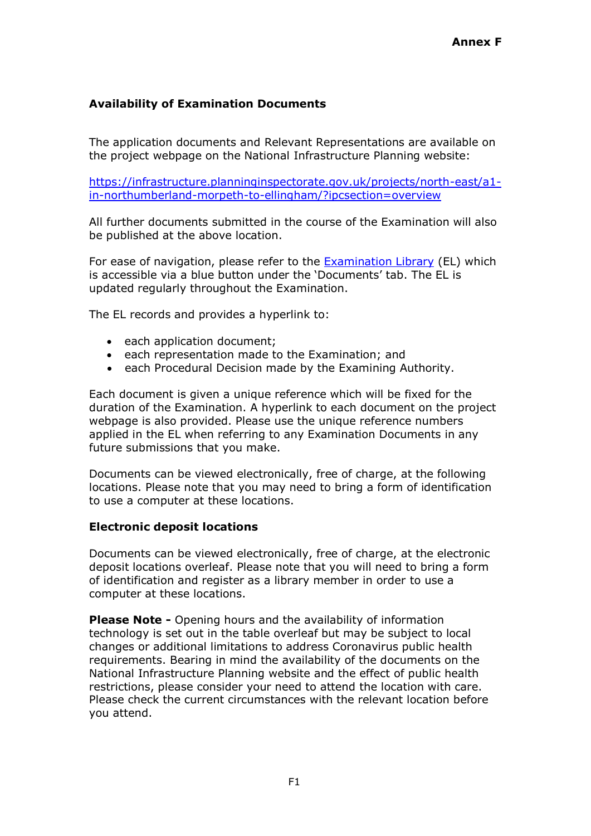## **Availability of Examination Documents**

The application documents and Relevant Representations are available on the project webpage on the National Infrastructure Planning website:

[https://infrastructure.planninginspectorate.gov.uk/projects/north-east/a1](https://infrastructure.planninginspectorate.gov.uk/projects/north-east/a1-in-northumberland-morpeth-to-ellingham/?ipcsection=overview) [in-northumberland-morpeth-to-ellingham/?ipcsection=overview](https://infrastructure.planninginspectorate.gov.uk/projects/north-east/a1-in-northumberland-morpeth-to-ellingham/?ipcsection=overview)

All further documents submitted in the course of the Examination will also be published at the above location.

For ease of navigation, please refer to the [Examination Library](https://infrastructure.planninginspectorate.gov.uk/wp-content/ipc/uploads/projects/TR010059/TR010059-000838-A1%20Northumberland%20Examination%20Library%20Morpeth%20to%20Ellingham.pdf) (EL) which is accessible via a blue button under the 'Documents' tab. The EL is updated regularly throughout the Examination.

The EL records and provides a hyperlink to:

- each application document;
- each representation made to the Examination; and
- each Procedural Decision made by the Examining Authority.

Each document is given a unique reference which will be fixed for the duration of the Examination. A hyperlink to each document on the project webpage is also provided. Please use the unique reference numbers applied in the EL when referring to any Examination Documents in any future submissions that you make.

Documents can be viewed electronically, free of charge, at the following locations. Please note that you may need to bring a form of identification to use a computer at these locations.

#### **Electronic deposit locations**

Documents can be viewed electronically, free of charge, at the electronic deposit locations overleaf. Please note that you will need to bring a form of identification and register as a library member in order to use a computer at these locations.

**Please Note -** Opening hours and the availability of information technology is set out in the table overleaf but may be subject to local changes or additional limitations to address Coronavirus public health requirements. Bearing in mind the availability of the documents on the National Infrastructure Planning website and the effect of public health restrictions, please consider your need to attend the location with care. Please check the current circumstances with the relevant location before you attend.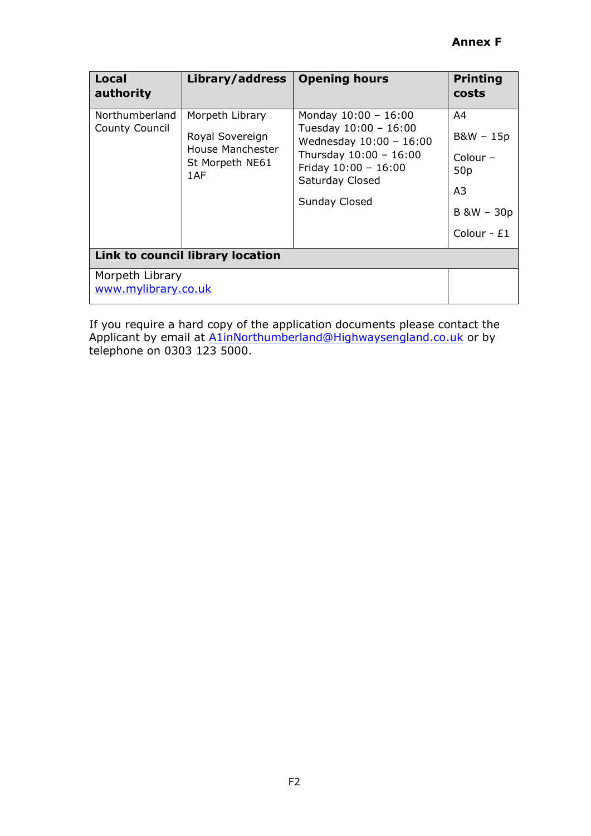| Local<br>authority                      | Library/address                                                                  | <b>Opening hours</b>                                                                                                                                                 | <b>Printing</b><br>costs                                                                            |
|-----------------------------------------|----------------------------------------------------------------------------------|----------------------------------------------------------------------------------------------------------------------------------------------------------------------|-----------------------------------------------------------------------------------------------------|
| Northumberland<br><b>County Council</b> | Morpeth Library<br>Royal Sovereign<br>House Manchester<br>St Morpeth NE61<br>1AF | Monday $10:00 - 16:00$<br>Tuesday 10:00 - 16:00<br>Wednesday $10:00 - 16:00$<br>Thursday 10:00 - 16:00<br>Friday $10:00 - 16:00$<br>Saturday Closed<br>Sunday Closed | A4<br>B&W - 15p<br>Colour $-$<br>50 <sub>p</sub><br>A <sub>3</sub><br>$B$ &W $-$ 30p<br>Colour - £1 |
| Link to council library location        |                                                                                  |                                                                                                                                                                      |                                                                                                     |
| Morpeth Library<br>www.mylibrary.co.uk  |                                                                                  |                                                                                                                                                                      |                                                                                                     |

If you require a hard copy of the application documents please contact the Applicant by email at [A1inNorthumberland@Highwaysengland.co.uk](mailto:A1inNorthumberland@Highwaysengland.co.uk) or by telephone on 0303 123 5000.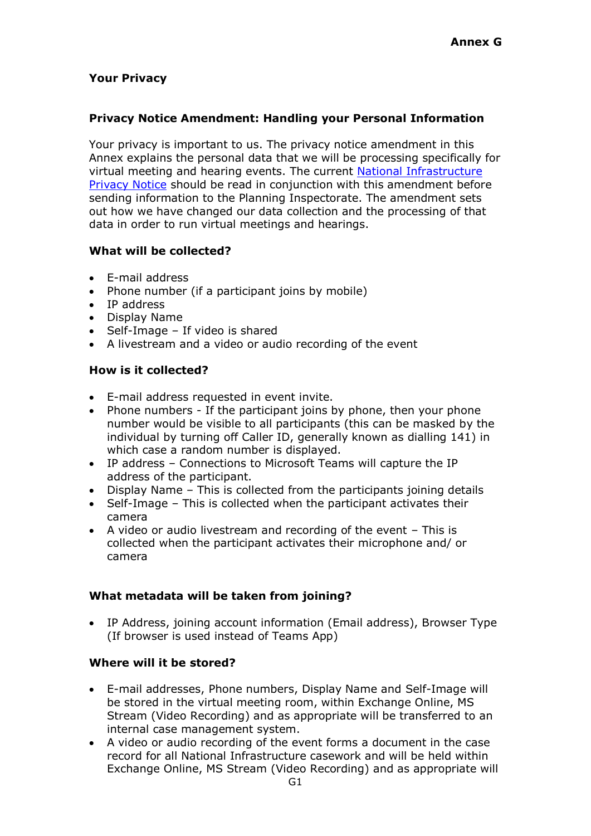# **Your Privacy**

#### **Privacy Notice Amendment: Handling your Personal Information**

Your privacy is important to us. The privacy notice amendment in this Annex explains the personal data that we will be processing specifically for virtual meeting and hearing events. The current [National Infrastructure](https://infrastructure.planninginspectorate.gov.uk/wp-content/uploads/2018/05/ni-privacy-statement.pdf)  [Privacy Notice](https://infrastructure.planninginspectorate.gov.uk/wp-content/uploads/2018/05/ni-privacy-statement.pdf) should be read in conjunction with this amendment before sending information to the Planning Inspectorate. The amendment sets out how we have changed our data collection and the processing of that data in order to run virtual meetings and hearings.

### **What will be collected?**

- E-mail address
- Phone number (if a participant joins by mobile)
- IP address
- Display Name
- Self-Image If video is shared
- A livestream and a video or audio recording of the event

#### **How is it collected?**

- E-mail address requested in event invite.
- Phone numbers If the participant joins by phone, then your phone number would be visible to all participants (this can be masked by the individual by turning off Caller ID, generally known as dialling 141) in which case a random number is displayed.
- IP address Connections to Microsoft Teams will capture the IP address of the participant.
- Display Name This is collected from the participants joining details
- Self-Image This is collected when the participant activates their camera
- A video or audio livestream and recording of the event This is collected when the participant activates their microphone and/ or camera

### **What metadata will be taken from joining?**

• IP Address, joining account information (Email address), Browser Type (If browser is used instead of Teams App)

### **Where will it be stored?**

- E-mail addresses, Phone numbers, Display Name and Self-Image will be stored in the virtual meeting room, within Exchange Online, MS Stream (Video Recording) and as appropriate will be transferred to an internal case management system.
- A video or audio recording of the event forms a document in the case record for all National Infrastructure casework and will be held within Exchange Online, MS Stream (Video Recording) and as appropriate will